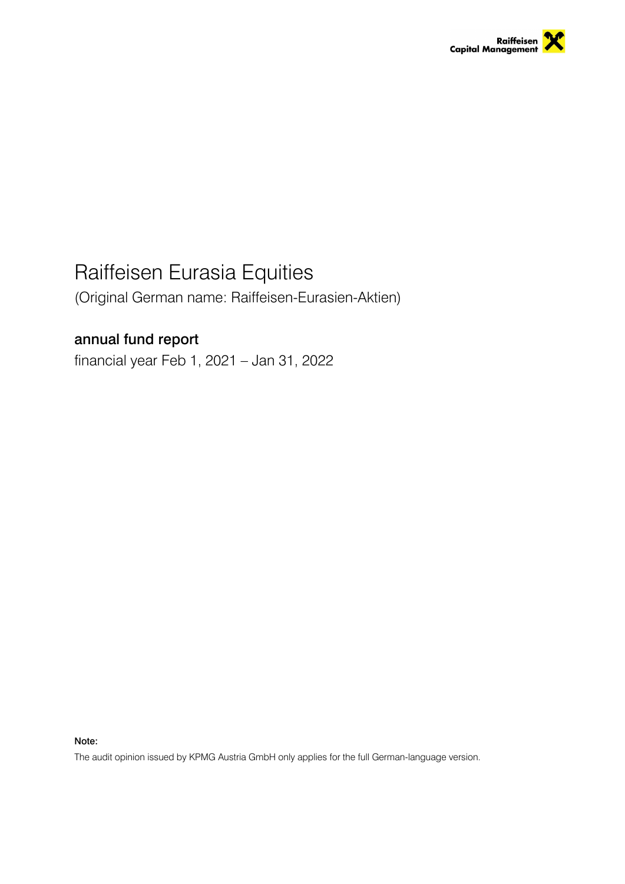

# Raiffeisen Eurasia Equities

(Original German name: Raiffeisen-Eurasien-Aktien)

## annual fund report

financial year Feb 1, 2021 – Jan 31, 2022

Note:

The audit opinion issued by KPMG Austria GmbH only applies for the full German-language version.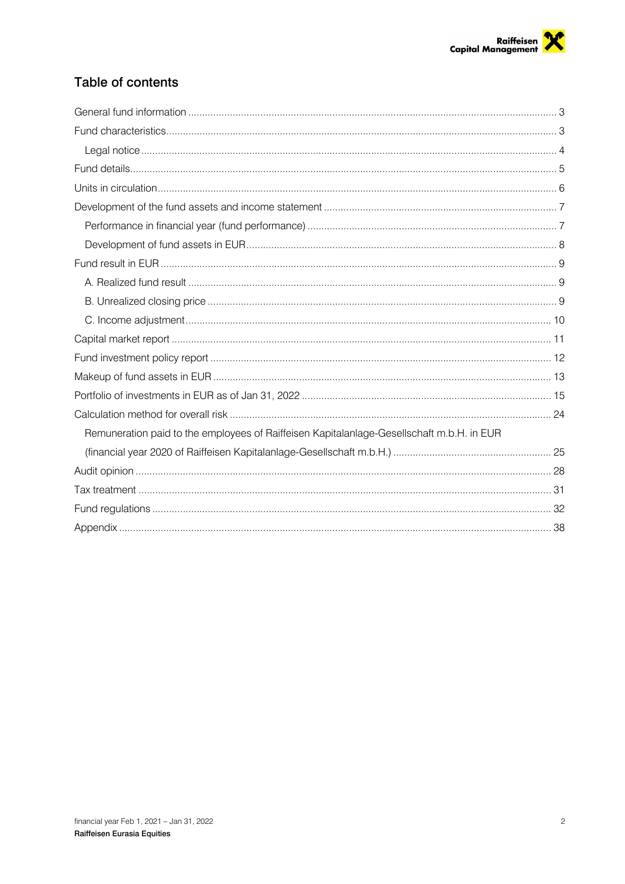## Table of contents

| Remuneration paid to the employees of Raiffeisen Kapitalanlage-Gesellschaft m.b.H. in EUR |  |
|-------------------------------------------------------------------------------------------|--|
|                                                                                           |  |
|                                                                                           |  |
|                                                                                           |  |
|                                                                                           |  |
|                                                                                           |  |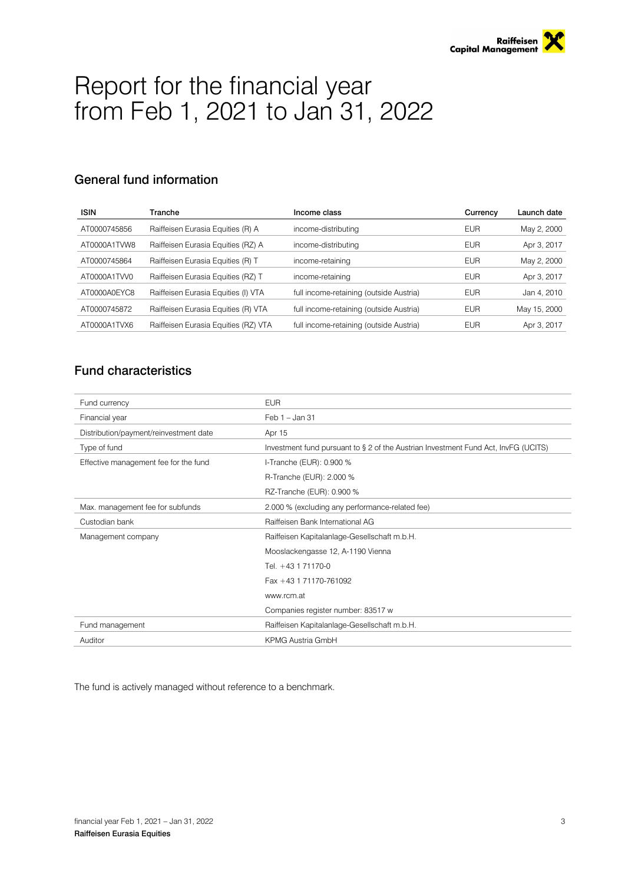

# Report for the financial year from Feb 1, 2021 to Jan 31, 2022

## General fund information

| <b>ISIN</b>  | Tranche                              | Income class                            | Currency   | Launch date  |
|--------------|--------------------------------------|-----------------------------------------|------------|--------------|
| AT0000745856 | Raiffeisen Eurasia Equities (R) A    | income-distributing                     | <b>EUR</b> | May 2, 2000  |
| AT0000A1TVW8 | Raiffeisen Eurasia Equities (RZ) A   | income-distributing                     | <b>EUR</b> | Apr 3, 2017  |
| AT0000745864 | Raiffeisen Eurasia Equities (R) T    | income-retaining                        | <b>EUR</b> | May 2, 2000  |
| AT0000A1TVV0 | Raiffeisen Eurasia Equities (RZ) T   | income-retaining                        | <b>EUR</b> | Apr 3, 2017  |
| AT0000A0EYC8 | Raiffeisen Eurasia Equities (I) VTA  | full income-retaining (outside Austria) | <b>EUR</b> | Jan 4, 2010  |
| AT0000745872 | Raiffeisen Eurasia Equities (R) VTA  | full income-retaining (outside Austria) | <b>EUR</b> | May 15, 2000 |
| AT0000A1TVX6 | Raiffeisen Eurasia Equities (RZ) VTA | full income-retaining (outside Austria) | <b>EUR</b> | Apr 3, 2017  |

## Fund characteristics

| Fund currency                          | <b>EUR</b>                                                                         |
|----------------------------------------|------------------------------------------------------------------------------------|
| Financial year                         | Feb $1 -$ Jan 31                                                                   |
| Distribution/payment/reinvestment date | Apr 15                                                                             |
| Type of fund                           | Investment fund pursuant to § 2 of the Austrian Investment Fund Act, InvFG (UCITS) |
| Effective management fee for the fund  | I-Tranche (EUR): 0.900 %                                                           |
|                                        | R-Tranche (EUR): 2.000 %                                                           |
|                                        | RZ-Tranche (EUR): 0.900 %                                                          |
| Max. management fee for subfunds       | 2.000 % (excluding any performance-related fee)                                    |
| Custodian bank                         | Raiffeisen Bank International AG                                                   |
| Management company                     | Raiffeisen Kapitalanlage-Gesellschaft m.b.H.                                       |
| Mooslackengasse 12, A-1190 Vienna      |                                                                                    |
|                                        | Tel. +43 1 71170-0                                                                 |
|                                        | Fax +43 1 71170-761092                                                             |
|                                        | www.rcm.at                                                                         |
|                                        | Companies register number: 83517 w                                                 |
| Fund management                        | Raiffeisen Kapitalanlage-Gesellschaft m.b.H.                                       |
| Auditor                                | <b>KPMG Austria GmbH</b>                                                           |

The fund is actively managed without reference to a benchmark.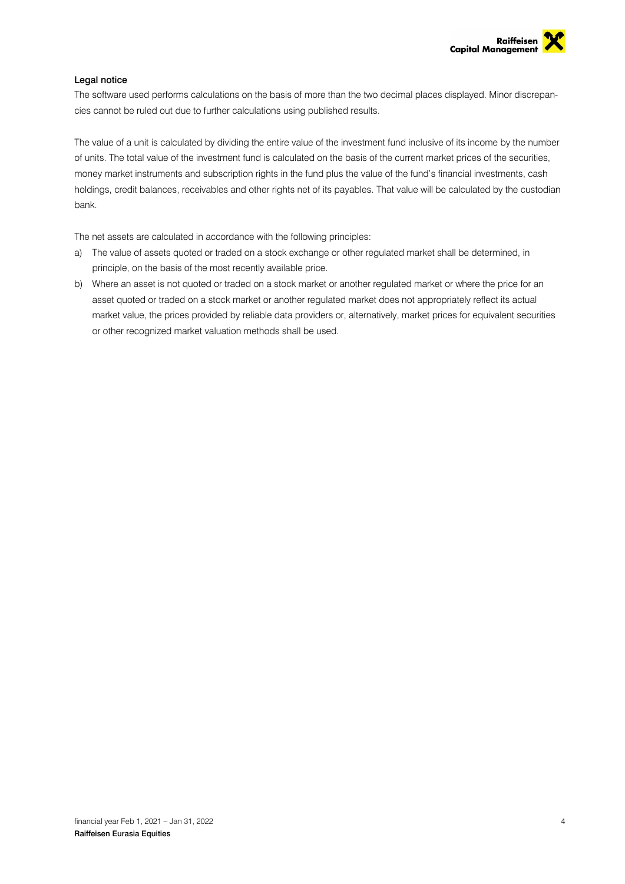

### Legal notice

The software used performs calculations on the basis of more than the two decimal places displayed. Minor discrepancies cannot be ruled out due to further calculations using published results.

The value of a unit is calculated by dividing the entire value of the investment fund inclusive of its income by the number of units. The total value of the investment fund is calculated on the basis of the current market prices of the securities, money market instruments and subscription rights in the fund plus the value of the fund's financial investments, cash holdings, credit balances, receivables and other rights net of its payables. That value will be calculated by the custodian bank.

The net assets are calculated in accordance with the following principles:

- a) The value of assets quoted or traded on a stock exchange or other regulated market shall be determined, in principle, on the basis of the most recently available price.
- b) Where an asset is not quoted or traded on a stock market or another regulated market or where the price for an asset quoted or traded on a stock market or another regulated market does not appropriately reflect its actual market value, the prices provided by reliable data providers or, alternatively, market prices for equivalent securities or other recognized market valuation methods shall be used.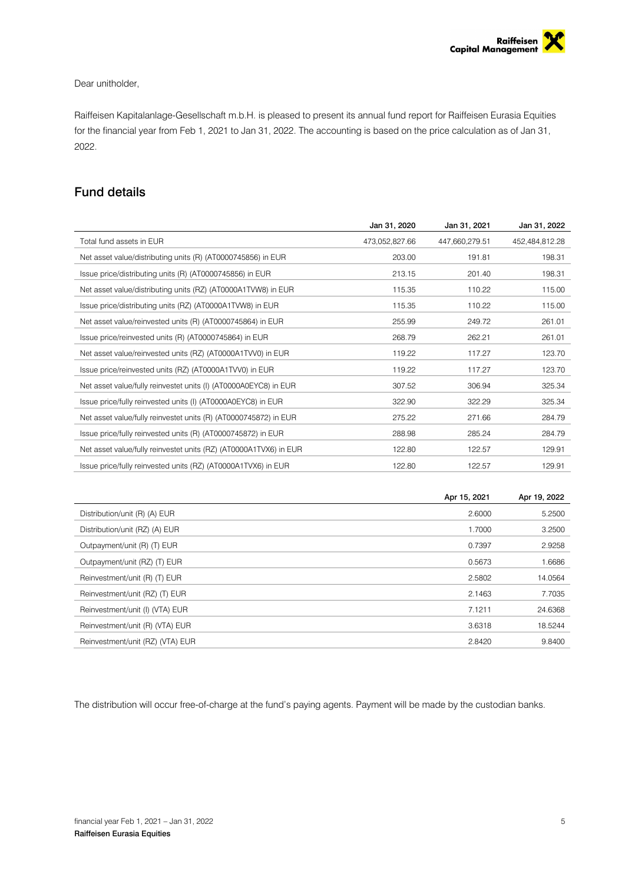### Dear unitholder,

Raiffeisen Kapitalanlage-Gesellschaft m.b.H. is pleased to present its annual fund report for Raiffeisen Eurasia Equities for the financial year from Feb 1, 2021 to Jan 31, 2022. The accounting is based on the price calculation as of Jan 31, 2022.

## Fund details

|                                                                   | Jan 31, 2020   | Jan 31, 2021   | Jan 31, 2022   |
|-------------------------------------------------------------------|----------------|----------------|----------------|
| Total fund assets in EUR                                          | 473,052,827.66 | 447,660,279.51 | 452,484,812.28 |
| Net asset value/distributing units (R) (AT0000745856) in EUR      | 203.00         | 191.81         | 198.31         |
| Issue price/distributing units (R) (AT0000745856) in EUR          | 213.15         | 201.40         | 198.31         |
| Net asset value/distributing units (RZ) (AT0000A1TVW8) in EUR     | 115.35         | 110.22         | 115.00         |
| Issue price/distributing units (RZ) (AT0000A1TVW8) in EUR         | 115.35         | 110.22         | 115.00         |
| Net asset value/reinvested units (R) (AT0000745864) in EUR        | 255.99         | 249.72         | 261.01         |
| Issue price/reinvested units (R) (AT0000745864) in EUR            | 268.79         | 262.21         | 261.01         |
| Net asset value/reinvested units (RZ) (AT0000A1TVV0) in EUR       | 119.22         | 117.27         | 123.70         |
| Issue price/reinvested units (RZ) (AT0000A1TVV0) in EUR           | 119.22         | 117.27         | 123.70         |
| Net asset value/fully reinvestet units (I) (AT0000A0EYC8) in EUR  | 307.52         | 306.94         | 325.34         |
| Issue price/fully reinvested units (I) (AT0000A0EYC8) in EUR      | 322.90         | 322.29         | 325.34         |
| Net asset value/fully reinvestet units (R) (AT0000745872) in EUR  | 275.22         | 271.66         | 284.79         |
| Issue price/fully reinvested units (R) (AT0000745872) in EUR      | 288.98         | 285.24         | 284.79         |
| Net asset value/fully reinvestet units (RZ) (AT0000A1TVX6) in EUR | 122.80         | 122.57         | 129.91         |
| Issue price/fully reinvested units (RZ) (AT0000A1TVX6) in EUR     | 122.80         | 122.57         | 129.91         |
|                                                                   |                |                |                |

| Apr 15, 2021                               | Apr 19, 2022 |
|--------------------------------------------|--------------|
| 2.6000<br>Distribution/unit (R) (A) EUR    | 5.2500       |
| Distribution/unit (RZ) (A) EUR<br>1.7000   | 3.2500       |
| 0.7397<br>Outpayment/unit (R) (T) EUR      | 2.9258       |
| 0.5673<br>Outpayment/unit (RZ) (T) EUR     | 1.6686       |
| Reinvestment/unit (R) (T) EUR<br>2.5802    | 14.0564      |
| Reinvestment/unit (RZ) (T) EUR<br>2.1463   | 7.7035       |
| 7.1211<br>Reinvestment/unit (I) (VTA) EUR  | 24.6368      |
| Reinvestment/unit (R) (VTA) EUR<br>3.6318  | 18.5244      |
| Reinvestment/unit (RZ) (VTA) EUR<br>2.8420 | 9.8400       |

The distribution will occur free-of-charge at the fund's paying agents. Payment will be made by the custodian banks.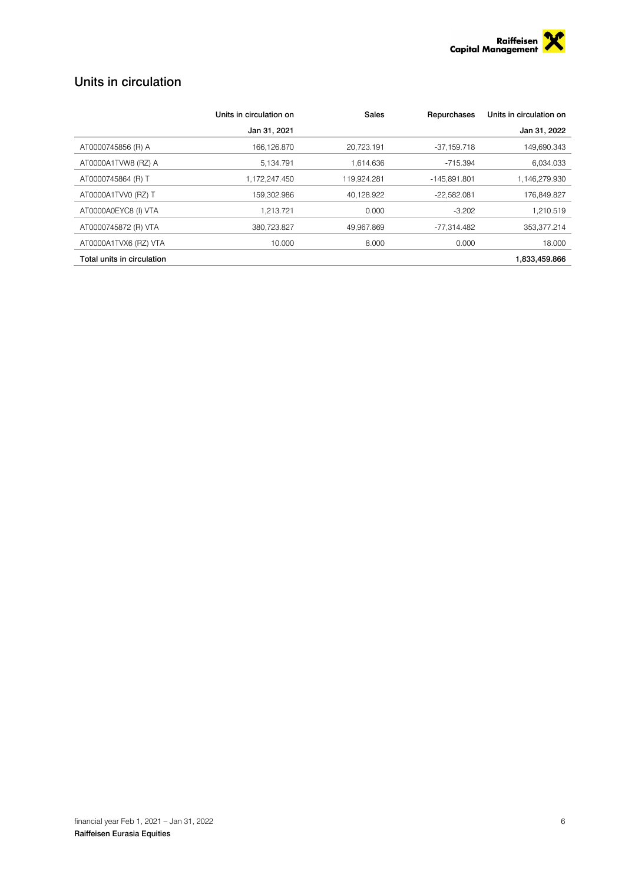

## Units in circulation

|                            | Units in circulation on | Sales       | Repurchases   | Units in circulation on |
|----------------------------|-------------------------|-------------|---------------|-------------------------|
|                            | Jan 31, 2021            |             |               | Jan 31, 2022            |
| AT0000745856 (R) A         | 166,126.870             | 20,723.191  | $-37,159.718$ | 149.690.343             |
| AT0000A1TVW8 (RZ) A        | 5.134.791               | 1.614.636   | -715.394      | 6.034.033               |
| AT0000745864 (R) T         | 1,172,247.450           | 119,924.281 | -145.891.801  | 1,146,279.930           |
| AT0000A1TVV0 (RZ) T        | 159.302.986             | 40.128.922  | $-22.582.081$ | 176.849.827             |
| AT0000A0EYC8 (I) VTA       | 1.213.721               | 0.000       | $-3.202$      | 1.210.519               |
| AT0000745872 (R) VTA       | 380,723.827             | 49.967.869  | -77.314.482   | 353,377.214             |
| AT0000A1TVX6 (RZ) VTA      | 10.000                  | 8.000       | 0.000         | 18,000                  |
| Total units in circulation |                         |             |               | 1.833.459.866           |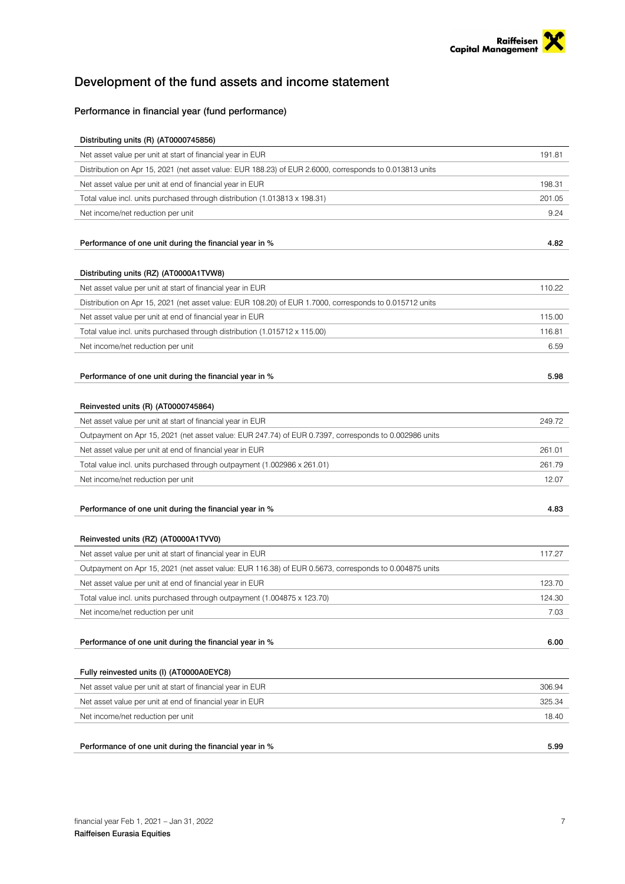## Development of the fund assets and income statement

### Performance in financial year (fund performance)

| Distributing units (R) (AT0000745856)                                                                   |        |
|---------------------------------------------------------------------------------------------------------|--------|
| Net asset value per unit at start of financial year in EUR                                              | 191.81 |
| Distribution on Apr 15, 2021 (net asset value: EUR 188.23) of EUR 2.6000, corresponds to 0.013813 units |        |
| Net asset value per unit at end of financial year in EUR                                                | 198.31 |
| Total value incl. units purchased through distribution (1.013813 x 198.31)                              | 201.05 |
| Net income/net reduction per unit                                                                       | 9.24   |
|                                                                                                         |        |
| Performance of one unit during the financial year in %                                                  | 4.82   |
|                                                                                                         |        |
| Distributing units (RZ) (AT0000A1TVW8)                                                                  |        |
| Net asset value per unit at start of financial year in EUR                                              | 110.22 |
| Distribution on Apr 15, 2021 (net asset value: EUR 108.20) of EUR 1.7000, corresponds to 0.015712 units |        |
| Net asset value per unit at end of financial year in EUR                                                | 115.00 |
| Total value incl. units purchased through distribution (1.015712 x 115.00)                              | 116.81 |
| Net income/net reduction per unit                                                                       | 6.59   |
|                                                                                                         |        |
| Performance of one unit during the financial year in %                                                  | 5.98   |
|                                                                                                         |        |
| Reinvested units (R) (AT0000745864)                                                                     |        |
| Net asset value per unit at start of financial year in EUR                                              | 249.72 |
| Outpayment on Apr 15, 2021 (net asset value: EUR 247.74) of EUR 0.7397, corresponds to 0.002986 units   |        |
| Net asset value per unit at end of financial year in EUR                                                | 261.01 |
| Total value incl. units purchased through outpayment (1.002986 x 261.01)                                | 261.79 |
| Net income/net reduction per unit                                                                       | 12.07  |
|                                                                                                         |        |
| Performance of one unit during the financial year in %                                                  | 4.83   |
|                                                                                                         |        |
| Reinvested units (RZ) (AT0000A1TVV0)                                                                    |        |
| Net asset value per unit at start of financial year in EUR                                              | 117.27 |
| Outpayment on Apr 15, 2021 (net asset value: EUR 116.38) of EUR 0.5673, corresponds to 0.004875 units   |        |
| Net asset value per unit at end of financial year in EUR                                                | 123.70 |
| Total value incl. units purchased through outpayment (1.004875 x 123.70)                                | 124.30 |
| Net income/net reduction per unit                                                                       | 7.03   |
|                                                                                                         |        |
| Performance of one unit during the financial year in %                                                  | 6.00   |
|                                                                                                         |        |
| Fully reinvested units (I) (AT0000A0EYC8)                                                               |        |
| Net asset value per unit at start of financial year in EUR                                              | 306.94 |
| Net asset value per unit at end of financial year in EUR                                                | 325.34 |
| Net income/net reduction per unit                                                                       | 18.40  |
|                                                                                                         |        |
| Performance of one unit during the financial year in %                                                  | 5.99   |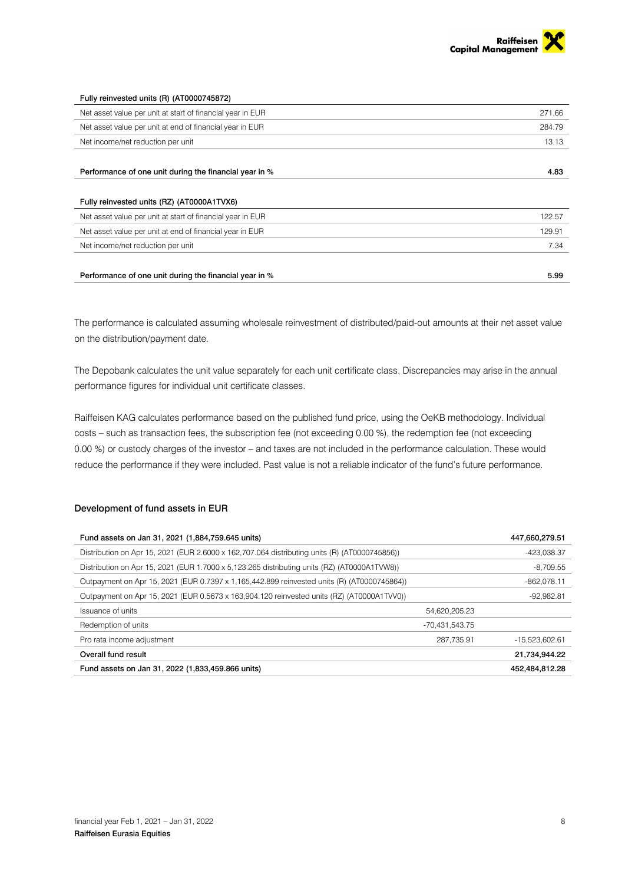

| Fully reinvested units (R) (AT0000745872)                  |        |
|------------------------------------------------------------|--------|
| Net asset value per unit at start of financial year in EUR | 271.66 |
| Net asset value per unit at end of financial year in EUR   | 284.79 |
| Net income/net reduction per unit                          | 13.13  |
|                                                            |        |
| Performance of one unit during the financial year in %     | 4.83   |
|                                                            |        |
| Fully reinvested units (RZ) (AT0000A1TVX6)                 |        |
| Net asset value per unit at start of financial year in EUR | 122.57 |
| Net asset value per unit at end of financial year in EUR   | 129.91 |
| Net income/net reduction per unit                          | 7.34   |
|                                                            |        |
| Performance of one unit during the financial year in %     | 5.99   |

The performance is calculated assuming wholesale reinvestment of distributed/paid-out amounts at their net asset value on the distribution/payment date.

The Depobank calculates the unit value separately for each unit certificate class. Discrepancies may arise in the annual performance figures for individual unit certificate classes.

Raiffeisen KAG calculates performance based on the published fund price, using the OeKB methodology. Individual costs – such as transaction fees, the subscription fee (not exceeding 0.00 %), the redemption fee (not exceeding 0.00 %) or custody charges of the investor – and taxes are not included in the performance calculation. These would reduce the performance if they were included. Past value is not a reliable indicator of the fund's future performance.

### Development of fund assets in EUR

| Fund assets on Jan 31, 2021 (1,884,759.645 units)                                              |                | 447,660,279.51   |
|------------------------------------------------------------------------------------------------|----------------|------------------|
| Distribution on Apr 15, 2021 (EUR 2.6000 x 162, 707.064 distributing units (R) (AT0000745856)) |                | -423.038.37      |
| Distribution on Apr 15, 2021 (EUR 1.7000 x 5, 123.265 distributing units (RZ) (AT0000A1TVW8))  |                | $-8.709.55$      |
| Outpayment on Apr 15, 2021 (EUR 0.7397 x 1, 165, 442.899 reinvested units (R) (AT0000745864))  |                | -862.078.11      |
| Outpayment on Apr 15, 2021 (EUR 0.5673 x 163,904.120 reinvested units (RZ) (AT0000A1TVV0))     |                | -92.982.81       |
| Issuance of units                                                                              | 54.620.205.23  |                  |
| Redemption of units                                                                            | -70,431,543.75 |                  |
| Pro rata income adjustment                                                                     | 287.735.91     | $-15,523,602.61$ |
| Overall fund result                                                                            |                | 21,734,944.22    |
| Fund assets on Jan 31, 2022 (1,833,459.866 units)                                              |                | 452,484,812.28   |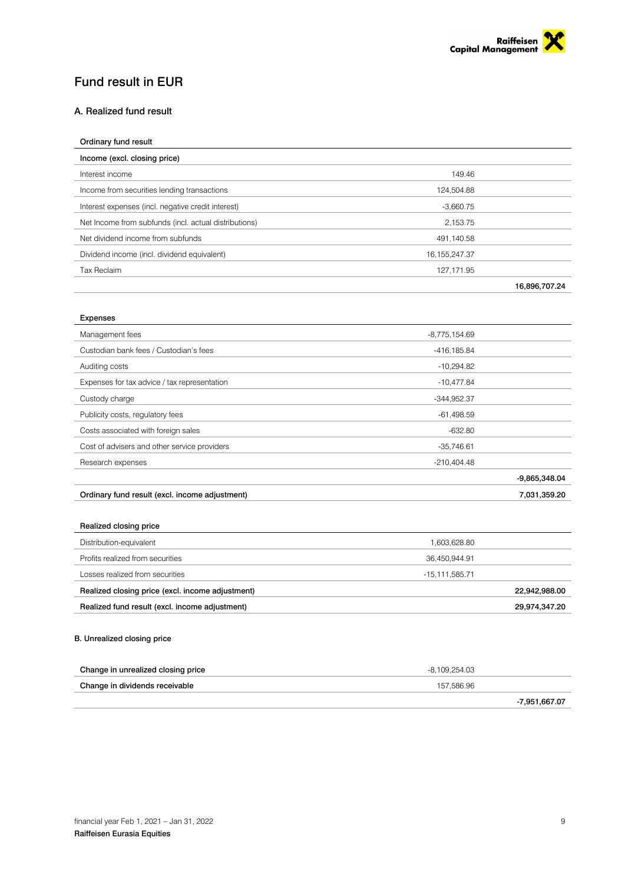

## Fund result in EUR

### A. Realized fund result

| Ordinary fund result                                  |                  |               |
|-------------------------------------------------------|------------------|---------------|
| Income (excl. closing price)                          |                  |               |
| Interest income                                       | 149.46           |               |
| Income from securities lending transactions           | 124,504.88       |               |
| Interest expenses (incl. negative credit interest)    | $-3,660.75$      |               |
| Net Income from subfunds (incl. actual distributions) | 2,153.75         |               |
| Net dividend income from subfunds                     | 491,140.58       |               |
| Dividend income (incl. dividend equivalent)           | 16, 155, 247. 37 |               |
| <b>Tax Reclaim</b>                                    | 127,171.95       |               |
|                                                       |                  | 16,896,707.24 |

### Expenses

| Management fees                                | $-8,775,154.69$ |                 |
|------------------------------------------------|-----------------|-----------------|
| Custodian bank fees / Custodian's fees         | -416,185.84     |                 |
| Auditing costs                                 | $-10,294.82$    |                 |
| Expenses for tax advice / tax representation   | $-10,477.84$    |                 |
| Custody charge                                 | $-344,952.37$   |                 |
| Publicity costs, regulatory fees               | $-61,498.59$    |                 |
| Costs associated with foreign sales            | $-632.80$       |                 |
| Cost of advisers and other service providers   | $-35,746.61$    |                 |
| Research expenses                              | $-210,404.48$   |                 |
|                                                |                 | $-9,865,348.04$ |
| Ordinary fund result (excl. income adjustment) |                 | 7,031,359.20    |

### Realized closing price

| Distribution-equivalent                          | 1.603.628.80       |  |
|--------------------------------------------------|--------------------|--|
| Profits realized from securities                 | 36.450.944.91      |  |
| Losses realized from securities                  | $-15, 111, 585.71$ |  |
| Realized closing price (excl. income adjustment) | 22,942,988.00      |  |
| Realized fund result (excl. income adjustment)   | 29,974,347.20      |  |

### B. Unrealized closing price

| Change in unrealized closing price | -8.109.254.03 |
|------------------------------------|---------------|
| Change in dividends receivable     | 157.586.96    |
|                                    | -7,951,667.07 |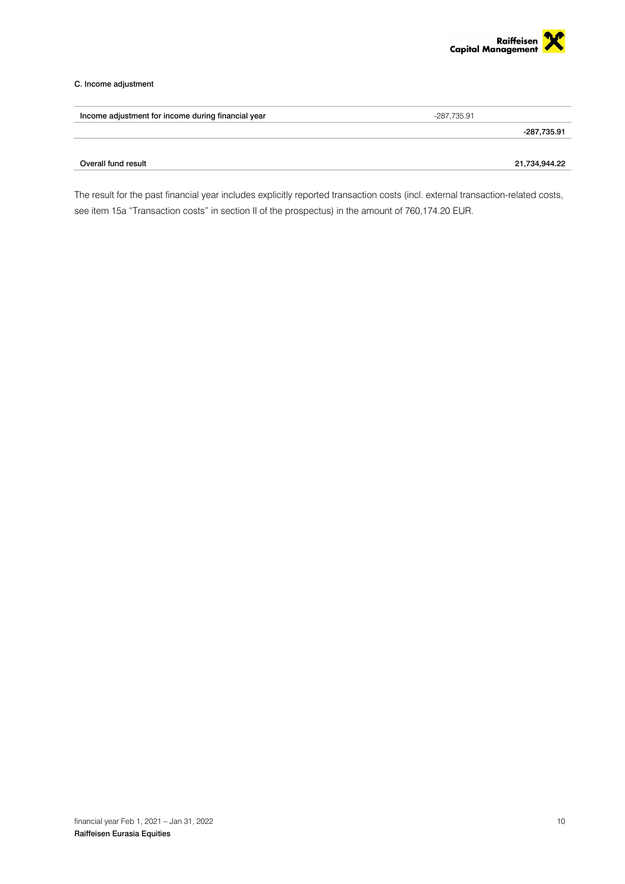

### C. Income adjustment

| Income adjustment for income during financial year | -287.735.91   |
|----------------------------------------------------|---------------|
|                                                    | -287,735.91   |
| Overall fund result                                | 21,734,944.22 |
|                                                    |               |

The result for the past financial year includes explicitly reported transaction costs (incl. external transaction-related costs, see item 15a "Transaction costs" in section II of the prospectus) in the amount of 760,174.20 EUR.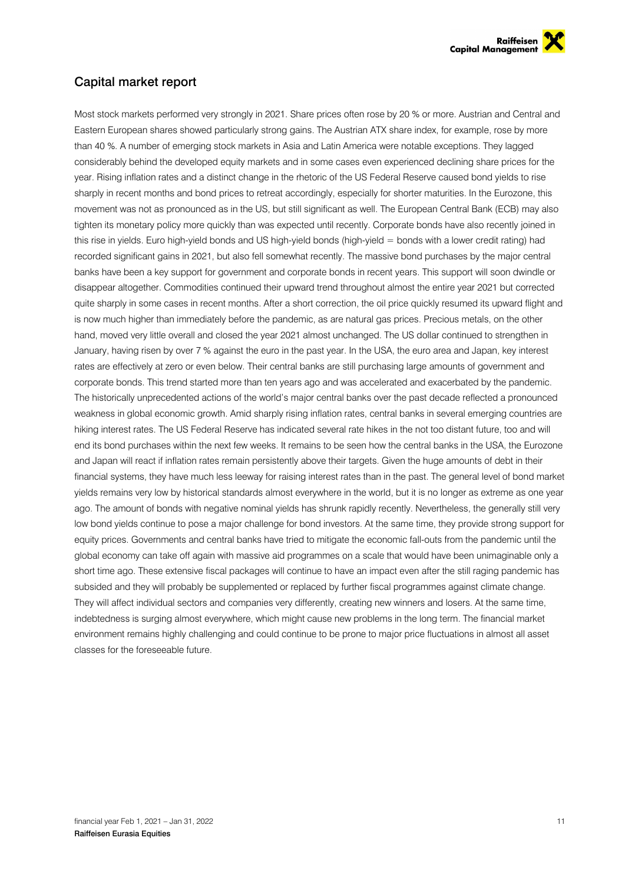

## Capital market report

Most stock markets performed very strongly in 2021. Share prices often rose by 20 % or more. Austrian and Central and Eastern European shares showed particularly strong gains. The Austrian ATX share index, for example, rose by more than 40 %. A number of emerging stock markets in Asia and Latin America were notable exceptions. They lagged considerably behind the developed equity markets and in some cases even experienced declining share prices for the year. Rising inflation rates and a distinct change in the rhetoric of the US Federal Reserve caused bond yields to rise sharply in recent months and bond prices to retreat accordingly, especially for shorter maturities. In the Eurozone, this movement was not as pronounced as in the US, but still significant as well. The European Central Bank (ECB) may also tighten its monetary policy more quickly than was expected until recently. Corporate bonds have also recently joined in this rise in yields. Euro high-yield bonds and US high-yield bonds (high-yield = bonds with a lower credit rating) had recorded significant gains in 2021, but also fell somewhat recently. The massive bond purchases by the major central banks have been a key support for government and corporate bonds in recent years. This support will soon dwindle or disappear altogether. Commodities continued their upward trend throughout almost the entire year 2021 but corrected quite sharply in some cases in recent months. After a short correction, the oil price quickly resumed its upward flight and is now much higher than immediately before the pandemic, as are natural gas prices. Precious metals, on the other hand, moved very little overall and closed the year 2021 almost unchanged. The US dollar continued to strengthen in January, having risen by over 7 % against the euro in the past year. In the USA, the euro area and Japan, key interest rates are effectively at zero or even below. Their central banks are still purchasing large amounts of government and corporate bonds. This trend started more than ten years ago and was accelerated and exacerbated by the pandemic. The historically unprecedented actions of the world's major central banks over the past decade reflected a pronounced weakness in global economic growth. Amid sharply rising inflation rates, central banks in several emerging countries are hiking interest rates. The US Federal Reserve has indicated several rate hikes in the not too distant future, too and will end its bond purchases within the next few weeks. It remains to be seen how the central banks in the USA, the Eurozone and Japan will react if inflation rates remain persistently above their targets. Given the huge amounts of debt in their financial systems, they have much less leeway for raising interest rates than in the past. The general level of bond market yields remains very low by historical standards almost everywhere in the world, but it is no longer as extreme as one year ago. The amount of bonds with negative nominal yields has shrunk rapidly recently. Nevertheless, the generally still very low bond yields continue to pose a major challenge for bond investors. At the same time, they provide strong support for equity prices. Governments and central banks have tried to mitigate the economic fall-outs from the pandemic until the global economy can take off again with massive aid programmes on a scale that would have been unimaginable only a short time ago. These extensive fiscal packages will continue to have an impact even after the still raging pandemic has subsided and they will probably be supplemented or replaced by further fiscal programmes against climate change. They will affect individual sectors and companies very differently, creating new winners and losers. At the same time, indebtedness is surging almost everywhere, which might cause new problems in the long term. The financial market environment remains highly challenging and could continue to be prone to major price fluctuations in almost all asset classes for the foreseeable future.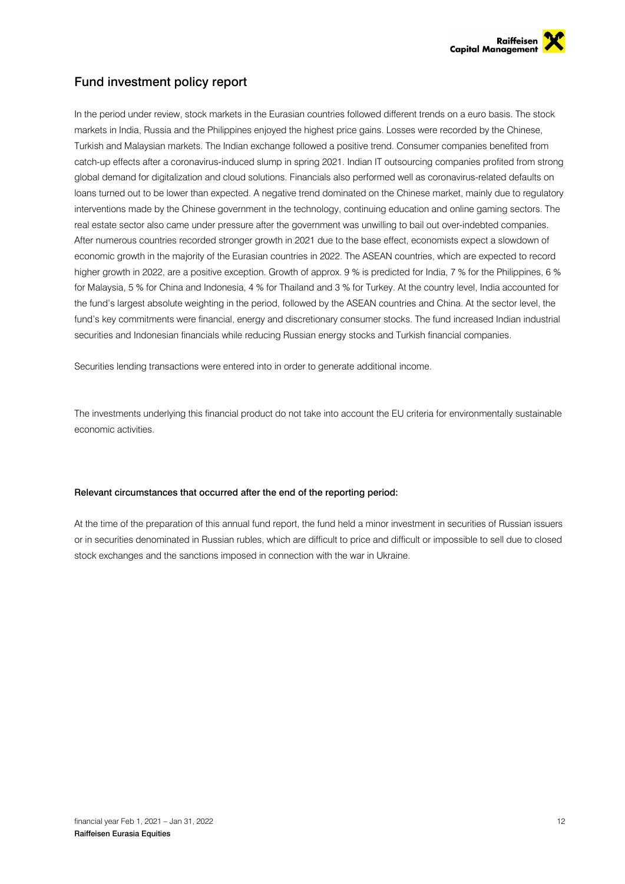

## Fund investment policy report

In the period under review, stock markets in the Eurasian countries followed different trends on a euro basis. The stock markets in India, Russia and the Philippines enjoyed the highest price gains. Losses were recorded by the Chinese, Turkish and Malaysian markets. The Indian exchange followed a positive trend. Consumer companies benefited from catch-up effects after a coronavirus-induced slump in spring 2021. Indian IT outsourcing companies profited from strong global demand for digitalization and cloud solutions. Financials also performed well as coronavirus-related defaults on loans turned out to be lower than expected. A negative trend dominated on the Chinese market, mainly due to regulatory interventions made by the Chinese government in the technology, continuing education and online gaming sectors. The real estate sector also came under pressure after the government was unwilling to bail out over-indebted companies. After numerous countries recorded stronger growth in 2021 due to the base effect, economists expect a slowdown of economic growth in the majority of the Eurasian countries in 2022. The ASEAN countries, which are expected to record higher growth in 2022, are a positive exception. Growth of approx. 9 % is predicted for India, 7 % for the Philippines, 6 % for Malaysia, 5 % for China and Indonesia, 4 % for Thailand and 3 % for Turkey. At the country level, India accounted for the fund's largest absolute weighting in the period, followed by the ASEAN countries and China. At the sector level, the fund's key commitments were financial, energy and discretionary consumer stocks. The fund increased Indian industrial securities and Indonesian financials while reducing Russian energy stocks and Turkish financial companies.

Securities lending transactions were entered into in order to generate additional income.

The investments underlying this financial product do not take into account the EU criteria for environmentally sustainable economic activities.

### Relevant circumstances that occurred after the end of the reporting period:

At the time of the preparation of this annual fund report, the fund held a minor investment in securities of Russian issuers or in securities denominated in Russian rubles, which are difficult to price and difficult or impossible to sell due to closed stock exchanges and the sanctions imposed in connection with the war in Ukraine.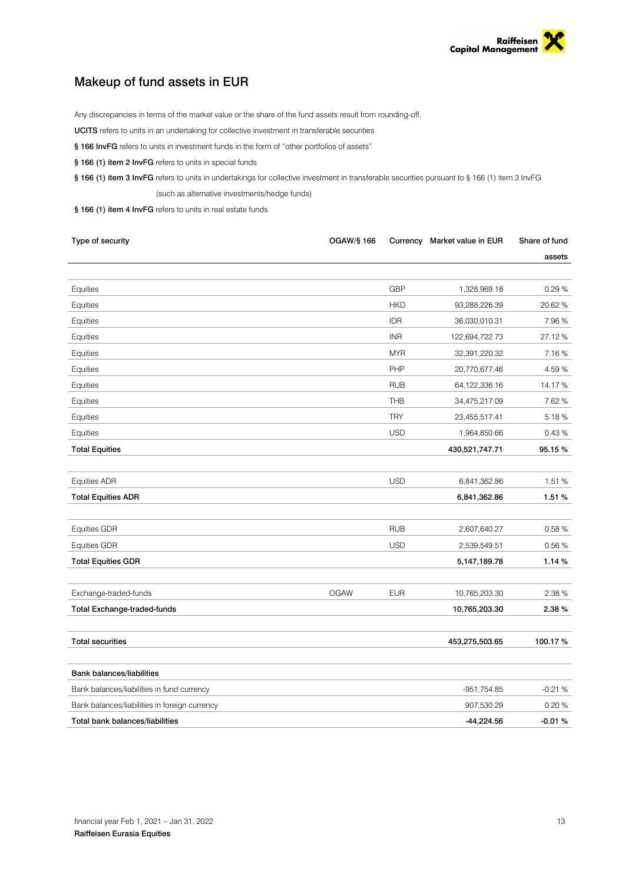

## Makeup of fund assets in EUR

Any discrepancies in terms of the market value or the share of the fund assets result from rounding-off.

UCITS refers to units in an undertaking for collective investment in transferable securities

- § 166 InvFG refers to units in investment funds in the form of "other portfolios of assets"
- § 166 (1) item 2 InvFG refers to units in special funds

§ 166 (1) item 3 InvFG refers to units in undertakings for collective investment in transferable securities pursuant to § 166 (1) item 3 InvFG (such as alternative investments/hedge funds)

§ 166 (1) item 4 InvFG refers to units in real estate funds

| Type of security                              | <b>OGAW/§ 166</b> |            | Currency Market value in EUR | Share of fund |
|-----------------------------------------------|-------------------|------------|------------------------------|---------------|
|                                               |                   |            |                              | assets        |
|                                               |                   |            |                              |               |
| Equities                                      |                   | <b>GBP</b> | 1,328,969.18                 | 0.29%         |
| Equities                                      |                   | <b>HKD</b> | 93,288,226.39                | 20.62%        |
| Equities                                      |                   | IDR        | 36,030,010.31                | 7.96%         |
| Equities                                      |                   | <b>INR</b> | 122,694,722.73               | 27.12 %       |
| Equities                                      |                   | <b>MYR</b> | 32,391,220.32                | 7.16%         |
| Equities                                      |                   | PHP        | 20,770,677.46                | 4.59 %        |
| Equities                                      |                   | <b>RUB</b> | 64,122,336.16                | 14.17%        |
| Equities                                      |                   | THB        | 34,475,217.09                | 7.62%         |
| Equities                                      |                   | <b>TRY</b> | 23,455,517.41                | 5.18%         |
| Equities                                      |                   | <b>USD</b> | 1,964,850.66                 | 0.43%         |
| <b>Total Equities</b>                         |                   |            | 430,521,747.71               | 95.15%        |
|                                               |                   |            |                              |               |
| Equities ADR                                  |                   | <b>USD</b> | 6,841,362.86                 | 1.51 %        |
| <b>Total Equities ADR</b>                     |                   |            | 6,841,362.86                 | 1.51%         |
|                                               |                   |            |                              |               |
| <b>Equities GDR</b>                           |                   | <b>RUB</b> | 2,607,640.27                 | 0.58 %        |
| <b>Equities GDR</b>                           |                   | <b>USD</b> | 2,539,549.51                 | 0.56%         |
| <b>Total Equities GDR</b>                     |                   |            | 5,147,189.78                 | 1.14%         |
|                                               |                   |            |                              |               |
| Exchange-traded-funds                         | <b>OGAW</b>       | <b>EUR</b> | 10,765,203.30                | 2.38 %        |
| <b>Total Exchange-traded-funds</b>            |                   |            | 10,765,203.30                | 2.38%         |
|                                               |                   |            |                              |               |
| <b>Total securities</b>                       |                   |            | 453,275,503.65               | 100.17%       |
|                                               |                   |            |                              |               |
| <b>Bank balances/liabilities</b>              |                   |            |                              |               |
| Bank balances/liabilities in fund currency    |                   |            | -951,754.85                  | $-0.21%$      |
| Bank balances/liabilities in foreign currency |                   |            | 907,530.29                   | 0.20%         |
| Total bank balances/liabilities               |                   |            | $-44,224.56$                 | $-0.01%$      |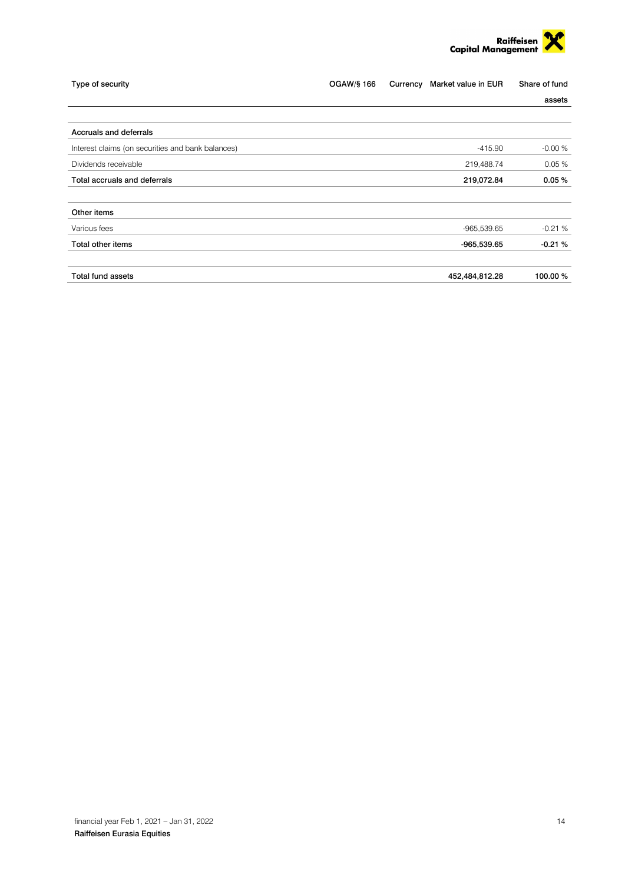

| Type of security                                  | OGAW/§ 166 | Currency | Market value in EUR | Share of fund |
|---------------------------------------------------|------------|----------|---------------------|---------------|
|                                                   |            |          |                     | assets        |
|                                                   |            |          |                     |               |
| Accruals and deferrals                            |            |          |                     |               |
| Interest claims (on securities and bank balances) |            |          | $-415.90$           | $-0.00%$      |
| Dividends receivable                              |            |          | 219,488.74          | 0.05%         |
| Total accruals and deferrals                      |            |          | 219,072.84          | 0.05%         |
|                                                   |            |          |                     |               |
| Other items                                       |            |          |                     |               |
| Various fees                                      |            |          | $-965,539.65$       | $-0.21%$      |
| Total other items                                 |            |          | $-965,539.65$       | $-0.21%$      |
| <b>Total fund assets</b>                          |            |          | 452,484,812.28      | 100.00 %      |
|                                                   |            |          |                     |               |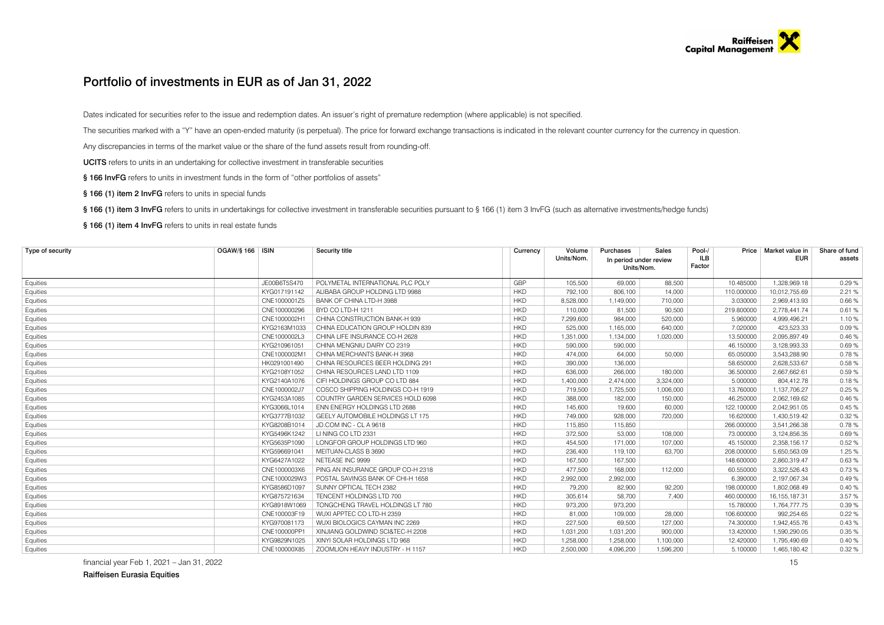### Portfolio of investments in EUR as of Jan 31, 2022

Dates indicated for securities refer to the issue and redemption dates. An issuer's right of premature redemption (where applicable) is not specified.

The securities marked with a "Y" have an open-ended maturity (is perpetual). The price for forward exchange transactions is indicated in the relevant counter currency for the currency in question.

Any discrepancies in terms of the market value or the share of the fund assets result from rounding-off.

UCITS refers to units in an undertaking for collective investment in transferable securities

§ 166 InvFG refers to units in investment funds in the form of "other portfolios of assets"

§ 166 (1) item 2 InvFG refers to units in special funds

§ 166 (1) item 3 InvFG refers to units in undertakings for collective investment in transferable securities pursuant to § 166 (1) item 3 InvFG (such as alternative investments/hedge funds)

§ 166 (1) item 4 InvFG refers to units in real estate funds

| Type of security | OGAW/§ 166   ISIN | Security title                    | Currency   | Volume     | Purchases                            | Sales     | Pool-/               | Price      | Market value in | Share of fund |
|------------------|-------------------|-----------------------------------|------------|------------|--------------------------------------|-----------|----------------------|------------|-----------------|---------------|
|                  |                   |                                   |            | Units/Nom. | In period under review<br>Units/Nom. |           | <b>ILB</b><br>Factor |            | <b>EUR</b>      | assets        |
| Equities         | JE00B6T5S470      | POLYMETAL INTERNATIONAL PLC POLY  | <b>GBP</b> | 105,500    | 69,000                               | 88,500    |                      | 10.485000  | 1.328.969.18    | 0.29%         |
| Equities         | KYG017191142      | ALIBABA GROUP HOLDING LTD 9988    | <b>HKD</b> | 792,100    | 806,100                              | 14,000    |                      | 110.000000 | 10,012,755.69   | 2.21 %        |
| Equities         | CNE1000001Z5      | BANK OF CHINA LTD-H 3988          | <b>HKD</b> | 8,528,000  | 1,149,000                            | 710,000   |                      | 3.030000   | 2,969,413.93    | 0.66%         |
| Equities         | CNE100000296      | BYD CO LTD-H 1211                 | <b>HKD</b> | 110,000    | 81.500                               | 90,500    |                      | 219,800000 | 2.778.441.74    | 0.61%         |
| Equities         | CNE1000002H       | CHINA CONSTRUCTION BANK-H 939     | <b>HKD</b> | 7,299,600  | 984,000                              | 520,000   |                      | 5.960000   | 4,999,496.21    | 1.10%         |
| Equities         | KYG2163M1033      | CHINA EDUCATION GROUP HOLDIN 839  | <b>HKD</b> | 525,000    | 1,165,000                            | 640,000   |                      | 7.020000   | 423,523.33      | 0.09%         |
| Equities         | CNE1000002L3      | CHINA LIFE INSURANCE CO-H 2628    | <b>HKD</b> | 1,351,000  | 1,134,000                            | 1,020,000 |                      | 13.500000  | 2,095,897.49    | 0.46%         |
| Equities         | KYG21096105       | CHINA MENGNIU DAIRY CO 2319       | <b>HKD</b> | 590,000    | 590,000                              |           |                      | 46.150000  | 3,128,993.33    | 0.69%         |
| Equities         | CNE1000002M       | CHINA MERCHANTS BANK-H 3968       | <b>HKD</b> | 474,000    | 64,000                               | 50,000    |                      | 65.050000  | 3,543,288.90    | 0.78%         |
| Equities         | HK0291001490      | CHINA RESOURCES BEER HOLDING 291  | <b>HKD</b> | 390,000    | 136,000                              |           |                      | 58.650000  | 2,628,533.67    | 0.58%         |
| Equities         | KYG2108Y1052      | CHINA RESOURCES LAND LTD 1109     | <b>HKD</b> | 636,000    | 266,000                              | 180,000   |                      | 36.500000  | 2.667.662.61    | 0.59%         |
| Equities         | KYG2140A1076      | CIFI HOLDINGS GROUP CO LTD 884    | <b>HKD</b> | 1,400,000  | 2,474,000                            | 3.324.000 |                      | 5.000000   | 804,412.78      | 0.18%         |
| Equities         | CNE1000002J7      | COSCO SHIPPING HOLDINGS CO-H 1919 | <b>HKD</b> | 719,500    | 1,725,500                            | 1,006,000 |                      | 13.760000  | 1,137,706.27    | 0.25%         |
| Equities         | KYG2453A1085      | COUNTRY GARDEN SERVICES HOLD 6098 | <b>HKD</b> | 388,000    | 182,000                              | 150,000   |                      | 46.250000  | 2,062,169.62    | 0.46%         |
| Equities         | KYG3066L1014      | ENN ENERGY HOLDINGS LTD 2688      | <b>HKD</b> | 145,600    | 19,600                               | 60,000    |                      | 122.100000 | 2,042,951.05    | 0.45 %        |
| Equities         | KYG3777B1032      | GEELY AUTOMOBILE HOLDINGS LT 175  | <b>HKD</b> | 749.000    | 928,000                              | 720,000   |                      | 16.620000  | 1,430,519.42    | 0.32%         |
| Equities         | KYG8208B1014      | JD.COM INC - CLA 9618             | <b>HKD</b> | 115,850    | 115,850                              |           |                      | 266.000000 | 3,541,266.38    | 0.78%         |
| Equities         | KYG5496K1242      | LINING COLTD 2331                 | <b>HKD</b> | 372,500    | 53,000                               | 108,000   |                      | 73.000000  | 3,124,856.35    | 0.69%         |
| Equities         | KYG5635P1090      | LONGFOR GROUP HOLDINGS LTD 960    | <b>HKD</b> | 454,500    | 171.000                              | 107,000   |                      | 45.150000  | 2,358,156.17    | 0.52%         |
| Equities         | KYG596691041      | MEITUAN-CLASS B 3690              | <b>HKD</b> | 236,400    | 119,100                              | 63,700    |                      | 208.000000 | 5,650,563.09    | 1.25 %        |
| Equities         | KYG6427A1022      | NETEASE INC 9999                  | <b>HKD</b> | 167,500    | 167,500                              |           |                      | 148.600000 | 2,860,319.47    | 0.63%         |
| Equities         | CNE1000003X6      | PING AN INSURANCE GROUP CO-H 2318 | <b>HKD</b> | 477,500    | 168,000                              | 112,000   |                      | 60.550000  | 3,322,526.43    | 0.73%         |
| Equities         | CNE1000029W3      | POSTAL SAVINGS BANK OF CHI-H 1658 | <b>HKD</b> | 2,992,000  | 2,992,000                            |           |                      | 6.390000   | 2,197,067.34    | 0.49%         |
| Equities         | KYG8586D1097      | SUNNY OPTICAL TECH 2382           | <b>HKD</b> | 79.200     | 82,900                               | 92,200    |                      | 198.000000 | 1,802,068.49    | 0.40%         |
| Equities         | KYG875721634      | TENCENT HOLDINGS LTD 700          | <b>HKD</b> | 305,614    | 58,700                               | 7,400     |                      | 460.000000 | 16, 155, 187.31 | 3.57 %        |
| Equities         | KYG8918W1069      | TONGCHENG TRAVEL HOLDINGS LT 780  | <b>HKD</b> | 973.200    | 973.200                              |           |                      | 15.780000  | 1,764,777.75    | 0.39%         |
| Equities         | CNE100003F19      | WUXI APPTEC CO LTD-H 2359         | <b>HKD</b> | 81.000     | 109.000                              | 28,000    |                      | 106.600000 | 992,254.65      | 0.22%         |
| Equities         | KYG970081173      | WUXI BIOLOGICS CAYMAN INC 2269    | <b>HKD</b> | 227,500    | 69,500                               | 127,000   |                      | 74.300000  | 1,942,455.76    | 0.43%         |
| Equities         | CNE100000PP1      | XINJIANG GOLDWIND SCI&TEC-H 2208  | <b>HKD</b> | 1,031,200  | 1,031,200                            | 900,000   |                      | 13.420000  | 1,590,290.05    | 0.35%         |
| Equities         | KYG9829N1025      | XINYI SOLAR HOLDINGS LTD 968      | <b>HKD</b> | 1,258,000  | 1,258,000                            | 1,100,000 |                      | 12.420000  | 1,795,490.69    | 0.40%         |
| Equities         | CNE100000X85      | ZOOMLION HEAVY INDUSTRY - H 1157  | <b>HKD</b> | 2.500.000  | 4.096.200                            | 1.596.200 |                      | 5.100000   | 1.465.180.42    | 0.32%         |

financial year Feb 1, 2021 – Jan 31, 2022 15

Raiffeisen Eurasia Equities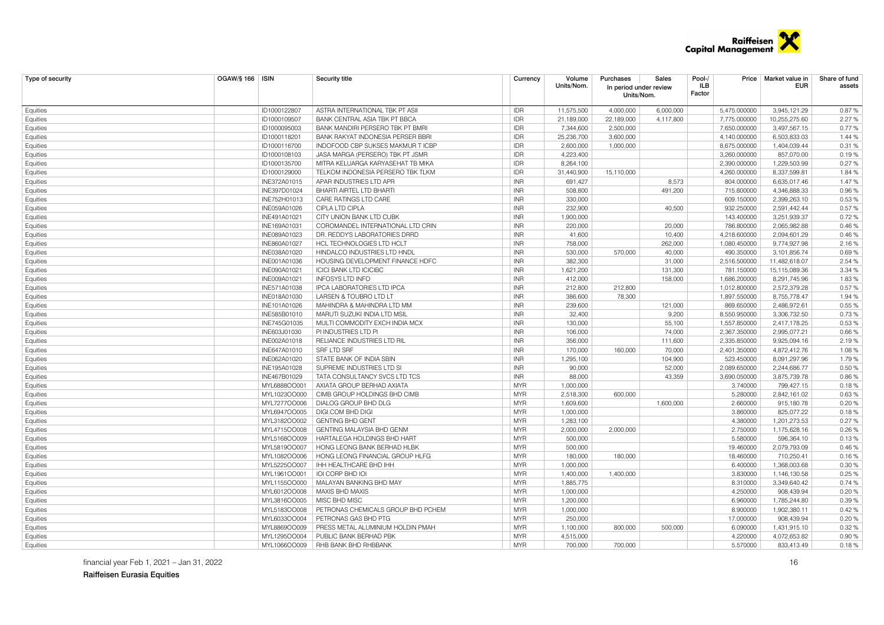

| Type of security     | <b>OGAW/§ 166   ISIN</b> |              | <b>Security title</b>              | Currency   | Volume<br>Units/Nom.   | Purchases<br>In period under review<br>Units/Nom. | Sales     | Pool-/<br>ILB<br>Factor |              | Price   Market value in<br>EUR | Share of fund<br>assets |
|----------------------|--------------------------|--------------|------------------------------------|------------|------------------------|---------------------------------------------------|-----------|-------------------------|--------------|--------------------------------|-------------------------|
| Equities             |                          | ID1000122807 | ASTRA INTERNATIONAL TBK PT ASII    | <b>IDR</b> | 11,575,500             | 4,000,000                                         | 6,000,000 |                         | 5,475.000000 | 3,945,121.29                   | 0.87%                   |
| Equities             |                          | ID1000109507 | BANK CENTRAL ASIA TBK PT BBCA      | <b>IDR</b> | 21,189,000             | 22,189,000                                        | 4,117,800 |                         | 7,775.000000 | 10,255,275.60                  | 2.27 %                  |
| Equities             |                          | ID1000095003 | BANK MANDIRI PERSERO TBK PT BMRI   | <b>IDR</b> | 7,344,600              | 2,500,000                                         |           |                         | 7,650.000000 | 3,497,567.15                   | 0.77%                   |
| Equities             |                          | ID1000118201 | BANK RAKYAT INDONESIA PERSER BBRI  | <b>IDR</b> | 25,236,700             | 3,600,000                                         |           |                         | 4,140.000000 | 6,503,833.03                   | 1.44 %                  |
| Equities             |                          | ID1000116700 | INDOFOOD CBP SUKSES MAKMUR TICBP   | <b>IDR</b> | 2,600,000              | 1,000,000                                         |           |                         | 8,675.000000 | 1,404,039.44                   | 0.31%                   |
| Equities             |                          | ID1000108103 | JASA MARGA (PERSERO) TBK PT JSMR   | <b>IDR</b> | 4,223,400              |                                                   |           |                         | 3,260.000000 | 857,070.00                     | 0.19%                   |
| Equities             |                          | ID1000135700 | MITRA KELUARGA KARYASEHAT TB MIKA  | <b>IDR</b> | 8,264,100              |                                                   |           |                         | 2,390.000000 | 1,229,503.99                   | 0.27%                   |
| Equities             |                          | ID1000129000 | TELKOM INDONESIA PERSERO TBK TLKM  | <b>IDR</b> | 31,440,900             | 15,110,000                                        |           |                         | 4,260.000000 | 8,337,599.81                   | 1.84%                   |
| Equities             |                          | INE372A01015 | APAR INDUSTRIES LTD APR            | <b>INR</b> | 691,427                |                                                   | 8,573     |                         | 804.000000   | 6,635,017.46                   | 1.47%                   |
| Equities             |                          | INE397D01024 | BHARTI AIRTEL LTD BHARTI           | <b>INR</b> | 508,800                |                                                   | 491,200   |                         | 715,800000   | 4,346,888.33                   | 0.96%                   |
| Equities             |                          | INE752H01013 | CARE RATINGS LTD CARE              | <b>INR</b> | 330,000                |                                                   |           |                         | 609.150000   | 2,399,263.10                   | 0.53%                   |
| Equities             |                          | INE059A01026 | <b>CIPLA LTD CIPLA</b>             | <b>INR</b> | 232,900                |                                                   | 40,500    |                         | 932.250000   | 2,591,442.44                   | 0.57%                   |
| Equities             |                          | INE491A01021 | CITY UNION BANK LTD CUBK           | <b>INR</b> | 1,900,000              |                                                   |           |                         | 143.400000   | 3,251,939.37                   | 0.72%                   |
| Equities             |                          | INE169A01031 | COROMANDEL INTERNATIONAL LTD CRIN  | <b>INR</b> | 220,000                |                                                   | 20,000    |                         | 786.800000   | 2,065,982.88                   | 0.46 %                  |
| Equities             |                          | INE089A01023 | DR. REDDY'S LABORATORIES DRRD      | <b>INR</b> | 41.600                 |                                                   | 10,400    |                         | 4.218.600000 | 2,094,601.29                   | 0.46%                   |
| Equities             |                          | INE860A01027 | HCL TECHNOLOGIES LTD HCLT          | <b>INR</b> | 758,000                |                                                   | 262,000   |                         | 1,080.450000 | 9,774,927.98                   | 2.16%                   |
| Equities             |                          | INE038A01020 | HINDALCO INDUSTRIES LTD HNDL       | <b>INR</b> | 530,000                | 570,000                                           | 40,000    |                         | 490.350000   | 3,101,856.74                   | 0.69%                   |
| Equities             |                          | INE001A01036 | HOUSING DEVELOPMENT FINANCE HDFC   | <b>INR</b> | 382,300                |                                                   | 31,000    |                         | 2,516.500000 | 11,482,618.07                  | 2.54 %                  |
| Equities             |                          | INE090A01021 | <b>ICICI BANK LTD ICICIBC</b>      | <b>INR</b> | 1,621,200              |                                                   | 131,300   |                         | 781.150000   | 15,115,089.36                  | 3.34 %                  |
| Equities             |                          | INE009A01021 | INFOSYS LTD INFO                   | <b>INR</b> | 412,000                |                                                   | 158,000   |                         | 1,686.200000 | 8,291,745.96                   | 1.83%                   |
| Equities             |                          | INE571A01038 | IPCA LABORATORIES LTD IPCA         | <b>INR</b> | 212,800                | 212,800                                           |           |                         | 1,012.800000 | 2,572,379.28                   | 0.57%                   |
| Equities             |                          | INE018A01030 | <b>LARSEN &amp; TOUBRO LTD LT</b>  | <b>INR</b> | 386,600                | 78,300                                            |           |                         | 1,897.550000 | 8,755,778.47                   | 1.94 %                  |
| Equities             |                          | INE101A01026 | MAHINDRA & MAHINDRA LTD MM         | <b>INR</b> | 239,600                |                                                   | 121,000   |                         | 869.650000   | 2,486,972.61                   | 0.55%                   |
| Equities             |                          | INE585B01010 | MARUTI SUZUKI INDIA LTD MSIL       | <b>INR</b> | 32,400                 |                                                   | 9,200     |                         | 8,550.950000 | 3,306,732.50                   | 0.73%                   |
| Equities             |                          | INE745G01035 | MULTI COMMODITY EXCH INDIA MCX     | <b>INR</b> | 130,000                |                                                   | 55,100    |                         | 1,557.850000 | 2,417,178.25                   | 0.53%                   |
| Equities             |                          | INE603J01030 | PI INDUSTRIES LTD PI               | <b>INR</b> | 106,000                |                                                   | 74,000    |                         | 2,367.350000 | 2,995,077.21                   | 0.66%                   |
| Equities             |                          | INE002A01018 | RELIANCE INDUSTRIES LTD RIL        | <b>INR</b> | 356,000                |                                                   | 111,600   |                         | 2.335.850000 | 9.925.094.16                   | 2.19 %                  |
| Equities             |                          | INE647A01010 | SRF LTD SRF                        | <b>INR</b> | 170,000                | 160,000                                           | 70,000    |                         | 2,401.350000 | 4,872,412.76                   | 1.08%                   |
| Equities             |                          | INE062A01020 | STATE BANK OF INDIA SBIN           | <b>INR</b> | 1,295,100              |                                                   | 104,900   |                         | 523.450000   | 8,091,297.96                   | 1.79%                   |
| Equities             |                          | INE195A01028 | SUPREME INDUSTRIES LTD SI          | <b>INR</b> | 90,000                 |                                                   | 52,000    |                         | 2,089.650000 | 2,244,686.77                   | 0.50%                   |
| Equities             |                          | INE467B01029 | TATA CONSULTANCY SVCS LTD TCS      | <b>INR</b> | 88,000                 |                                                   | 43,359    |                         | 3,690.050000 | 3,875,739.78                   | 0.86%                   |
| Equities             |                          | MYL6888OO001 | AXIATA GROUP BERHAD AXIATA         | <b>MYR</b> | 1,000,000              |                                                   |           |                         | 3.740000     | 799,427.15                     | 0.18%                   |
| Equities             |                          | MYL1023OO000 | CIMB GROUP HOLDINGS BHD CIMB       | <b>MYR</b> | 2,518,300              | 600.000                                           |           |                         | 5.280000     | 2,842,161.02                   | 0.63%                   |
| Equities             |                          | MYL7277OO006 | DIALOG GROUP BHD DLG               | <b>MYR</b> | 1,609,600              |                                                   | 1,600,000 |                         | 2.660000     | 915,180.78                     | 0.20%                   |
| Equities             |                          | MYL6947OO005 | DIGI.COM BHD DIGI                  | <b>MYR</b> | 1,000,000              |                                                   |           |                         | 3.860000     | 825,077.22                     | 0.18%                   |
| Equities             |                          | MYL3182OO002 | <b>GENTING BHD GENT</b>            | <b>MYR</b> | 1,283,100              |                                                   |           |                         | 4.380000     | 1,201,273.53                   | 0.27%                   |
| Equities             |                          | MYL4715OO008 | <b>GENTING MALAYSIA BHD GENM</b>   | <b>MYR</b> | 2,000,000              | 2,000,000                                         |           |                         | 2.750000     | 1,175,628.16                   | 0.26%                   |
| Equities             |                          | MYL5168OO009 | HARTALEGA HOLDINGS BHD HART        | <b>MYR</b> | 500,000                |                                                   |           |                         | 5.580000     | 596,364.10                     | 0.13%                   |
|                      |                          | MYL5819OO007 | HONG LEONG BANK BERHAD HLBK        | <b>MYR</b> | 500,000                |                                                   |           |                         | 19.460000    | 2,079,793.09                   | 0.46%                   |
| Equities<br>Equities |                          | MYL1082OO006 | HONG LEONG FINANCIAL GROUP HLFG    | <b>MYR</b> | 180,000                | 180,000                                           |           |                         | 18.460000    | 710,250.41                     | 0.16%                   |
| Equities             |                          | MYL5225OO007 | IHH HEALTHCARE BHD IHH             | <b>MYR</b> | 1,000,000              |                                                   |           |                         | 6.400000     | 1,368,003.68                   | 0.30 %                  |
| Equities             |                          | MYL1961OO001 | IOI CORP BHD IOI                   | <b>MYR</b> | 1,400,000              | 1.400.000                                         |           |                         | 3.830000     | 1,146,130.58                   | 0.25%                   |
| Equities             |                          | MYL1155OO000 | MALAYAN BANKING BHD MAY            | <b>MYR</b> | 1,885,775              |                                                   |           |                         | 8.310000     | 3,349,640.42                   | 0.74%                   |
|                      |                          | MYL6012OO008 | MAXIS BHD MAXIS                    | <b>MYR</b> | 1,000,000              |                                                   |           |                         | 4.250000     | 908,439.94                     | 0.20%                   |
| Equities             |                          | MYL3816OO005 | MISC BHD MISC                      | <b>MYR</b> | 1,200,000              |                                                   |           |                         | 6.960000     | 1,785,244.80                   | 0.39%                   |
| Equities             |                          | MYL5183OO008 | PETRONAS CHEMICALS GROUP BHD PCHEM | <b>MYR</b> | 1,000,000              |                                                   |           |                         | 8.900000     | 1,902,380.11                   | 0.42%                   |
| Equities             |                          | MYL6033OO004 | PETRONAS GAS BHD PTG               | <b>MYR</b> | 250,000                |                                                   |           |                         | 17.000000    | 908,439.94                     | 0.20%                   |
| Equities             |                          | MYL8869OO009 | PRESS METAL ALUMINIUM HOLDIN PMAH  | <b>MYR</b> |                        | 800.000                                           | 500.000   |                         | 6.090000     |                                | 0.32%                   |
| Equities             |                          | MYL1295OO004 | PUBLIC BANK BERHAD PBK             | <b>MYR</b> | 1.100.000<br>4,515,000 |                                                   |           |                         | 4.220000     | 1.431.915.10<br>4,072,653.82   | 0.90 %                  |
| Equities<br>Equities |                          | MYL1066OO009 | RHB BANK BHD RHBBANK               | <b>MYR</b> | 700.000                | 700.000                                           |           |                         | 5.570000     | 833.413.49                     | 0.18%                   |
|                      |                          |              |                                    |            |                        |                                                   |           |                         |              |                                |                         |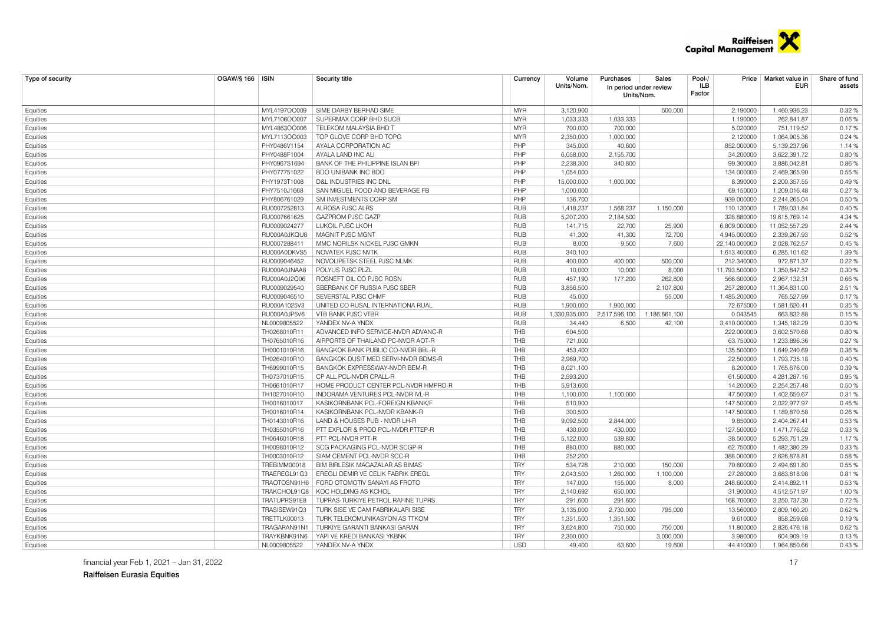

| Type of security | OGAW/§ 166   ISIN | Security title                       | Currency   | Volume<br>Units/Nom. | Purchases<br>In period under review<br>Units/Nom. | Sales         | Pool-/<br>Price<br>ILB<br>Factor | Market value in<br>EUR | Share of fund<br>assets |
|------------------|-------------------|--------------------------------------|------------|----------------------|---------------------------------------------------|---------------|----------------------------------|------------------------|-------------------------|
| Equities         | MYL4197OO009      | SIME DARBY BERHAD SIME               | <b>MYR</b> | 3,120,900            |                                                   | 500,000       | 2.190000                         | 1,460,936.23           | 0.32 %                  |
| Equities         | MYL7106OO007      | SUPERMAX CORP BHD SUCB               | <b>MYR</b> | 1,033,333            | 1,033,333                                         |               | 1.190000                         | 262,841.87             | 0.06%                   |
| Equities         | MYL4863OO006      | TELEKOM MALAYSIA BHD T               | <b>MYR</b> | 700,000              | 700,000                                           |               | 5.020000                         | 751,119.52             | 0.17%                   |
| Equities         | MYL7113OO003      | TOP GLOVE CORP BHD TOPG              | <b>MYR</b> | 2,350,000            | 1,000,000                                         |               | 2.120000                         | 1,064,905.36           | 0.24%                   |
| Equities         | PHY0486V1154      | AYALA CORPORATION AC                 | PHP        | 345,000              | 40,600                                            |               | 852.000000                       | 5,139,237.96           | 1.14 %                  |
| Equities         | PHY0488F1004      | AYALA LAND INC ALI                   | PHP        | 6,058,000            | 2,155,700                                         |               | 34.200000                        | 3,622,391.72           | 0.80%                   |
| Equities         | PHY0967S1694      | BANK OF THE PHILIPPINE ISLAN BPI     | PHP        | 2,238,300            | 340.800                                           |               | 99.300000                        | 3,886,042.81           | 0.86%                   |
| Equities         | PHY077751022      | BDO UNIBANK INC BDO                  | PHP        | 1,054,000            |                                                   |               | 134.000000                       | 2,469,365.90           | 0.55 %                  |
| Equities         | PHY1973T1008      | D&L INDUSTRIES INC DNL               | PHP        | 15,000,000           | 1,000,000                                         |               | 8.390000                         | 2,200,357.55           | 0.49%                   |
| Equities         | PHY7510J1668      | SAN MIGUEL FOOD AND BEVERAGE FB      | PHP        | 1,000,000            |                                                   |               | 69.150000                        | 1,209,016.48           | 0.27%                   |
| Equities         | PHY806761029      | SM INVESTMENTS CORP SM               | PHP        | 136,700              |                                                   |               | 939.000000                       | 2,244,265.04           | 0.50 %                  |
| Equities         | RU0007252813      | AI ROSA PJSC AI RS                   | <b>RUB</b> | 1,418,237            | 1.568.237                                         | 1.150.000     | 110.130000                       | 1,789,031.84           | 0.40%                   |
| Equities         | RU0007661625      | GAZPROM PJSC GAZP                    | <b>RUB</b> | 5,207,200            | 2,184,500                                         |               | 328.880000                       | 19,615,769.14          | 4.34 %                  |
| Equities         | RU0009024277      | LUKOIL PJSC LKOH                     | <b>RUB</b> | 141,715              | 22,700                                            | 25,900        | 6,809.000000                     | 11,052,557.29          | 2.44 %                  |
| Equities         | RU000A0JKQU8      | MAGNIT PJSC MGNT                     | <b>RUB</b> | 41,300               | 41,300                                            | 72,700        | 4,945.000000                     | 2,339,267.93           | 0.52%                   |
| Equities         | RU0007288411      | MMC NORILSK NICKEL PJSC GMKN         | <b>RUB</b> | 8,000                | 9,500                                             | 7,600         | 22,140.000000                    | 2,028,762.57           | 0.45%                   |
| Equities         | RU000A0DKVS5      | NOVATEK PJSC NVTK                    | <b>RUB</b> | 340.100              |                                                   |               | 1.613.400000                     | 6,285,101.62           | 1.39 %                  |
| Equities         | RU0009046452      | NOVOLIPETSK STEEL PJSC NLMK          | <b>RUB</b> | 400,000              | 400,000                                           | 500,000       | 212.340000                       | 972,871.37             | 0.22%                   |
| Equities         | RU000A0JNAA8      | POLYUS PJSC PLZL                     | <b>RUB</b> | 10,000               | 10,000                                            | 8,000         | 11,793.500000                    | 1,350,847.52           | 0.30 %                  |
| Equities         | RU000A0J2Q06      | ROSNEFT OIL CO PJSC ROSN             | <b>RUB</b> | 457,190              | 177,200                                           | 262,800       | 566.600000                       | 2,967,132.31           | 0.66%                   |
| Equities         | RU0009029540      | SBERBANK OF RUSSIA PJSC SBER         | <b>RUB</b> | 3,856,500            |                                                   | 2,107,800     | 257.280000                       | 11,364,831.00          | 2.51 %                  |
| Equities         | RU0009046510      | SEVERSTAL PJSC CHMF                  | <b>RUB</b> | 45,000               |                                                   | 55,000        | 1.485.200000                     | 765,527.99             | 0.17%                   |
| Equities         | RU000A1025V3      | UNITED CO RUSAL INTERNATIONA RUAL    | <b>RUB</b> | 1.900.000            | 1.900.000                                         |               | 72.675000                        | 1,581,620.41           | 0.35%                   |
| Equities         | RU000A0JP5V6      | VTB BANK PJSC VTBR                   | <b>RUB</b> | 1,330,935,000        | 2,517,596,100                                     | 1,186,661,100 | 0.043545                         | 663,832.88             | 0.15%                   |
| Equities         | NL0009805522      | YANDEX NV-A YNDX                     | <b>RUB</b> | 34,440               | 6,500                                             | 42,100        | 3,410.000000                     | 1,345,182.29           | 0.30 %                  |
| Equities         | TH0268010R11      | ADVANCED INFO SERVICE-NVDR ADVANC-R  | <b>THB</b> | 604,500              |                                                   |               | 222.000000                       | 3,602,570.68           | 0.80%                   |
| Equities         | TH0765010R16      | AIRPORTS OF THAILAND PC-NVDR AOT-R   | THB        | 721.000              |                                                   |               | 63.750000                        | 1,233,896.36           | 0.27%                   |
| Equities         | TH0001010R16      | BANGKOK BANK PUBLIC CO-NVDR BBL-R    | <b>THB</b> | 453,400              |                                                   |               | 135.500000                       | 1,649,240.69           | 0.36%                   |
| Equities         | TH0264010R10      | BANGKOK DUSIT MED SERVI-NVDR BDMS-R  | <b>THB</b> | 2,969,700            |                                                   |               | 22.500000                        | 1,793,735.18           | 0.40%                   |
| Equities         | TH6999010R15      | BANGKOK EXPRESSWAY-NVDR BEM-R        | THB        | 8,021,100            |                                                   |               | 8.200000                         | 1,765,676.00           | 0.39 %                  |
| Equities         | TH0737010R15      | CP ALL PCL-NVDR CPALL-R              | <b>THB</b> | 2,593,200            |                                                   |               | 61.500000                        | 4,281,287.16           | 0.95%                   |
| Equities         | TH0661010R17      | HOME PRODUCT CENTER PCL-NVDR HMPRO-R | <b>THB</b> | 5,913,600            |                                                   |               | 14.200000                        | 2,254,257.48           | 0.50 %                  |
| Equities         | TH1027010R10      | INDORAMA VENTURES PCL-NVDR IVL-R     | THB        | 1,100,000            | 1,100,000                                         |               | 47.500000                        | 1,402,650.67           | 0.31%                   |
| Equities         | TH0016010017      | KASIKORNBANK PCL-FOREIGN KBANK/F     | <b>THB</b> | 510.900              |                                                   |               | 147.500000                       | 2.022.977.97           | 0.45%                   |
| Equities         | TH0016010R14      | KASIKORNBANK PCL-NVDR KBANK-R        | THB        | 300,500              |                                                   |               | 147.500000                       | 1,189,870.58           | 0.26%                   |
| Equities         | TH0143010R16      | LAND & HOUSES PUB - NVDR LH-R        | <b>THB</b> | 9,092,500            | 2,844,000                                         |               | 9.850000                         | 2,404,267.41           | 0.53 %                  |
| Equities         | TH0355010R16      | PTT EXPLOR & PROD PCL-NVDR PTTEP-R   | <b>THB</b> | 430.000              | 430.000                                           |               | 127.500000                       | 1,471,776.52           | 0.33%                   |
| Equities         | TH0646010R18      | PTT PCL-NVDR PTT-R                   | THB        | 5,122,000            | 539,800                                           |               | 38.500000                        | 5,293,751.29           | 1.17%                   |
| Equities         | TH0098010R12      | SCG PACKAGING PCL-NVDR SCGP-R        | <b>THB</b> | 880,000              | 880,000                                           |               | 62.750000                        | 1.482.380.29           | 0.33%                   |
| Equities         | TH0003010R12      | SIAM CEMENT PCL-NVDR SCC-R           | THB        | 252,200              |                                                   |               | 388.000000                       | 2,626,878.81           | 0.58%                   |
| Equities         | TREBIMM00018      | BIM BIRLESIK MAGAZALAR AS BIMAS      | <b>TRY</b> | 534,728              | 210,000                                           | 150,000       | 70.600000                        | 2,494,691.80           | 0.55 %                  |
| Equities         | TRAEREGL91G3      | EREGLI DEMIR VE CELIK FABRIK EREGL   | <b>TRY</b> | 2,043,500            | 1,260,000                                         | 1,100,000     | 27.280000                        | 3,683,818.98           | 0.81%                   |
| Equities         | TRAOTOSN91H6      | FORD OTOMOTIV SANAYI AS FROTO        | <b>TRY</b> | 147,000              | 155,000                                           | 8,000         | 248.600000                       | 2,414,892.11           | 0.53%                   |
| Equities         | TRAKCHOL91Q8      | KOC HOLDING AS KCHOL                 | <b>TRY</b> | 2,140,692            | 650,000                                           |               | 31.900000                        | 4,512,571.97           | 1.00 %                  |
| Equities         | TRATUPRS91E8      | TUPRAS-TURKIYE PETROL RAFINE TUPRS   | <b>TRY</b> | 291,600              | 291,600                                           |               | 168.700000                       | 3,250,737.30           | 0.72%                   |
| Equities         | TRASISEW91Q3      | TURK SISE VE CAM FABRIKALARI SISE    | <b>TRY</b> | 3,135,000            | 2,730,000                                         | 795,000       | 13.560000                        | 2,809,160.20           | 0.62%                   |
| Equities         | TRETTLK00013      | TURK TELEKOMUNIKASYON AS TTKOM       | <b>TRY</b> | 1,351,500            | 1,351,500                                         |               | 9.610000                         | 858,259.68             | 0.19%                   |
| Equities         | TRAGARAN91N1      | TURKIYE GARANTI BANKASI GARAN        | <b>TRY</b> | 3,624,800            | 750,000                                           | 750,000       | 11.800000                        | 2,826,476.18           | 0.62%                   |
| Equities         | TRAYKBNK91N6      | YAPI VE KREDI BANKASI YKBNK          | <b>TRY</b> | 2.300.000            |                                                   | 3.000.000     | 3.980000                         | 604.909.19             | 0.13%                   |
| Equities         | NL0009805522      | YANDEX NV-A YNDX                     | <b>USD</b> | 49.400               | 63.600                                            | 19,600        | 44.410000                        | 1.964.850.66           | 0.43%                   |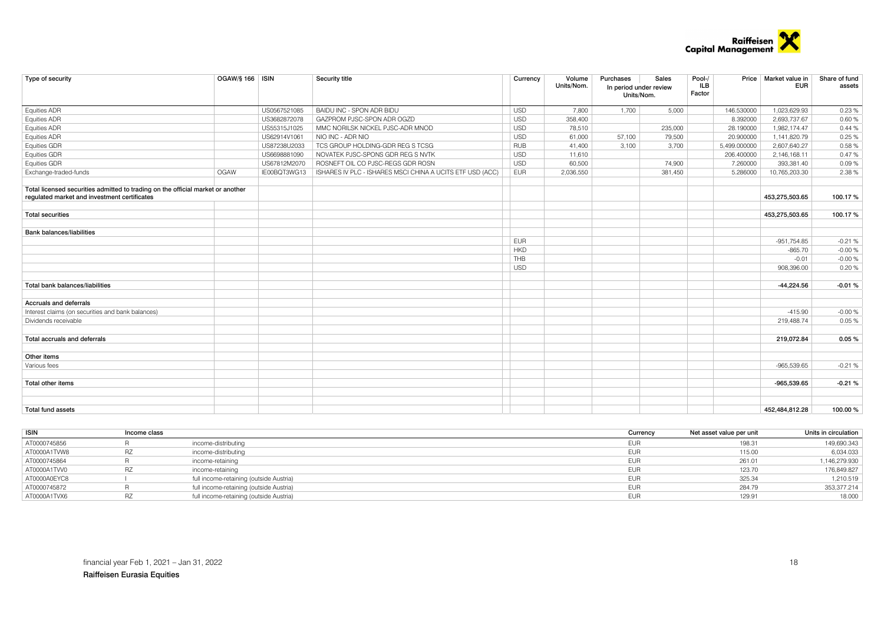

| Type of security                                                                                                                | OGAW/§ 166   ISIN |              | Security title                                            | Currency   | Volume<br>Units/Nom. | Purchases<br>In period under review<br>Units/Nom. | Sales   | Pool-/<br><b>ILB</b><br>Factor | Price Market value in<br><b>EUR</b> | Share of fund<br>assets |
|---------------------------------------------------------------------------------------------------------------------------------|-------------------|--------------|-----------------------------------------------------------|------------|----------------------|---------------------------------------------------|---------|--------------------------------|-------------------------------------|-------------------------|
| <b>Equities ADR</b>                                                                                                             |                   | US0567521085 | BAIDU INC - SPON ADR BIDU                                 | <b>USD</b> | 7.800                | 1.700                                             | 5,000   | 146.530000                     | 1,023,629.93                        | 0.23%                   |
| Equities ADR                                                                                                                    |                   | US3682872078 | GAZPROM PJSC-SPON ADR OGZD                                | <b>USD</b> | 358,400              |                                                   |         | 8.392000                       | 2,693,737.67                        | 0.60%                   |
| Equities ADR                                                                                                                    |                   | US55315J1025 | MMC NORILSK NICKEL PJSC-ADR MNOD                          | <b>USD</b> | 78,510               |                                                   | 235,000 | 28.190000                      | 1,982,174.47                        | 0.44%                   |
| Equities ADR                                                                                                                    |                   | US62914V1061 | NIO INC - ADR NIO                                         | <b>USD</b> | 61,000               | 57,100                                            | 79,500  | 20.900000                      | 1,141,820.79                        | 0.25 %                  |
| Equities GDR                                                                                                                    |                   | US87238U2033 | TCS GROUP HOLDING-GDR REG S TCSG                          | <b>RUB</b> | 41,400               | 3,100                                             | 3,700   | 5,499.000000                   | 2,607,640.27                        | 0.58%                   |
| Equities GDR                                                                                                                    |                   | US6698881090 | NOVATEK PJSC-SPONS GDR REG S NVTK                         | <b>USD</b> | 11,610               |                                                   |         | 206.400000                     | 2,146,168.11                        | 0.47%                   |
| Equities GDR                                                                                                                    |                   | US67812M2070 | ROSNEFT OIL CO PJSC-REGS GDR ROSN                         | <b>USD</b> | 60,500               |                                                   | 74,900  | 7.260000                       | 393,381.40                          | 0.09%                   |
| Exchange-traded-funds                                                                                                           | OGAW              | IE00BQT3WG13 | ISHARES IV PLC - ISHARES MSCI CHINA A UCITS ETF USD (ACC) | <b>EUR</b> | 2,036,550            |                                                   | 381,450 | 5.286000                       | 10,765,203.30                       | 2.38 %                  |
| Total licensed securities admitted to trading on the official market or another<br>regulated market and investment certificates |                   |              |                                                           |            |                      |                                                   |         |                                | 453,275,503.65                      | 100.17%                 |
| <b>Total securities</b>                                                                                                         |                   |              |                                                           |            |                      |                                                   |         |                                | 453,275,503.65                      | 100.17%                 |
| <b>Bank balances/liabilities</b>                                                                                                |                   |              |                                                           |            |                      |                                                   |         |                                |                                     |                         |
|                                                                                                                                 |                   |              |                                                           | <b>EUR</b> |                      |                                                   |         |                                | $-951,754.85$                       | $-0.21%$                |
|                                                                                                                                 |                   |              |                                                           | <b>HKD</b> |                      |                                                   |         |                                | $-865.70$                           | $-0.00%$                |
|                                                                                                                                 |                   |              |                                                           | THB        |                      |                                                   |         |                                | $-0.01$                             | $-0.00%$                |
|                                                                                                                                 |                   |              |                                                           | <b>USD</b> |                      |                                                   |         |                                | 908.396.00                          | 0.20%                   |
| Total bank balances/liabilities                                                                                                 |                   |              |                                                           |            |                      |                                                   |         |                                | $-44,224.56$                        | $-0.01%$                |
| <b>Accruals and deferrals</b>                                                                                                   |                   |              |                                                           |            |                      |                                                   |         |                                |                                     |                         |
| Interest claims (on securities and bank balances)                                                                               |                   |              |                                                           |            |                      |                                                   |         |                                | $-415.90$                           | $-0.00%$                |
| Dividends receivable                                                                                                            |                   |              |                                                           |            |                      |                                                   |         |                                | 219.488.74                          | 0.05 %                  |
| Total accruals and deferrals                                                                                                    |                   |              |                                                           |            |                      |                                                   |         |                                | 219,072.84                          | 0.05%                   |
| Other items                                                                                                                     |                   |              |                                                           |            |                      |                                                   |         |                                |                                     |                         |
| Various fees                                                                                                                    |                   |              |                                                           |            |                      |                                                   |         |                                | $-965.539.65$                       | $-0.21%$                |
| Total other items                                                                                                               |                   |              |                                                           |            |                      |                                                   |         |                                | -965,539.65                         | $-0.21%$                |
| <b>Total fund assets</b>                                                                                                        |                   |              |                                                           |            |                      |                                                   |         |                                | 452.484.812.28                      | 100.00 %                |

| <b>ISIN</b>  | Income class |                                         | Currencv   | Net asset value per unit | Units in circulation |
|--------------|--------------|-----------------------------------------|------------|--------------------------|----------------------|
| AT0000745856 |              | income-distributing                     | <b>EUR</b> | 198.31                   | 149,690.343          |
| AT0000A1TVW8 | RZ           | income-distributing                     | <b>EUR</b> | 115.00                   | 6,034.033            |
| AT0000745864 |              | income-retaining                        | <b>EUR</b> | 261.01                   | 1,146,279.930        |
| AT0000A1TVV0 | <b>RZ</b>    | income-retaining                        | <b>EUF</b> | 123.70                   | 176,849.827          |
| AT0000A0EYC8 |              | full income-retaining (outside Austria) | <b>EUR</b> | 325.34                   | 1.210.519            |
| AT0000745872 |              | full income-retaining (outside Austria) | <b>EUF</b> | 284.79                   | 353,377.214          |
| AT0000A1TVX6 |              | full income-retaining (outside Austria) | EUF        | $129.9 -$                | 18.000               |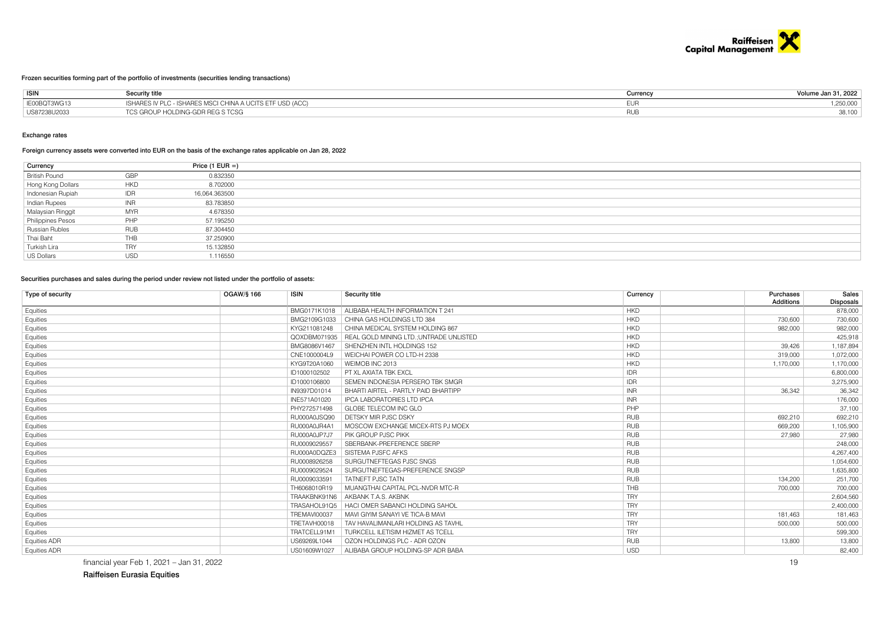

#### Frozen securities forming part of the portfolio of investments (securities lending transactions)

| <b>ISIN</b>  | Securitv title                                            | ⊃urrencγ | Volume Jan 31, 2022 |
|--------------|-----------------------------------------------------------|----------|---------------------|
| IE00BQT3WG13 | ISHARES IV PLC - ISHARES MSCI CHINA A UCITS ETF USD (ACC) |          | ,250,000            |
| US87238U2033 | TCS GROUP HOLDING-GDR REG S TCSG                          |          |                     |

#### Exchange rates

#### Foreign currency assets were converted into EUR on the basis of the exchange rates applicable on Jan 28, 2022

| Currency             |            | Price (1 EUR $=$ ) |
|----------------------|------------|--------------------|
| <b>British Pound</b> | GBP        | 0.832350           |
| Hong Kong Dollars    | <b>HKD</b> | 8.702000           |
| Indonesian Rupiah    | IDR        | 16,064.363500      |
| Indian Rupees        | INR        | 83.783850          |
| Malaysian Ringgit    | <b>MYR</b> | 4.678350           |
| Philippines Pesos    | PHP        | 57.195250          |
| Russian Rubles       | <b>RUB</b> | 87.304450          |
| Thai Baht            | THB        | 37.250900          |
| Turkish Lira         | <b>TRY</b> | 15.132850          |
| US Dollars           | <b>USD</b> | 1.116550           |

#### Securities purchases and sales during the period under review not listed under the portfolio of assets:

| Type of security    | <b>OGAW/§ 166</b> | <b>ISIN</b>  | Security title                          | Currency   | Purchases<br><b>Additions</b> | Sales<br><b>Disposals</b> |
|---------------------|-------------------|--------------|-----------------------------------------|------------|-------------------------------|---------------------------|
| Equities            |                   | BMG0171K1018 | ALIBABA HEALTH INFORMATION T 241        | <b>HKD</b> |                               | 878,000                   |
| Equities            |                   | BMG2109G1033 | CHINA GAS HOLDINGS LTD 384              | <b>HKD</b> | 730,600                       | 730,600                   |
| Equities            |                   | KYG211081248 | CHINA MEDICAL SYSTEM HOLDING 867        | <b>HKD</b> | 982,000                       | 982,000                   |
| Equities            |                   | QOXDBM071935 | REAL GOLD MINING LTD.: UNTRADE UNLISTED | <b>HKD</b> |                               | 425,918                   |
| Equities            |                   | BMG8086V1467 | SHENZHEN INTL HOLDINGS 152              | <b>HKD</b> | 39.426                        | 1,187,894                 |
| Equities            |                   | CNE1000004L9 | WEICHAI POWER CO LTD-H 2338             | <b>HKD</b> | 319,000                       | 1,072,000                 |
| Equities            |                   | KYG9T20A1060 | WEIMOB INC 2013                         | <b>HKD</b> | 1,170,000                     | 1,170,000                 |
| Equities            |                   | ID1000102502 | PT XL AXIATA TBK EXCL                   | <b>IDR</b> |                               | 6,800,000                 |
| Equities            |                   | ID1000106800 | SEMEN INDONESIA PERSERO TBK SMGR        | <b>IDR</b> |                               | 3,275,900                 |
| Equities            |                   | IN9397D01014 | BHARTI AIRTEL - PARTLY PAID BHARTIPP    | <b>INR</b> | 36,342                        | 36,342                    |
| Equities            |                   | INE571A01020 | <b>IPCA LABORATORIES LTD IPCA</b>       | <b>INR</b> |                               | 176,000                   |
| Equities            |                   | PHY272571498 | GLOBE TELECOM INC GLO                   | PHP        |                               | 37,100                    |
| Equities            |                   | RU000A0JSQ90 | DETSKY MIR PJSC DSKY                    | <b>RUB</b> | 692,210                       | 692,210                   |
| Equities            |                   | RU000A0JR4A1 | MOSCOW EXCHANGE MICEX-RTS PJ MOEX       | <b>RUB</b> | 669,200                       | 1,105,900                 |
| Equities            |                   | RU000A0JP7J7 | PIK GROUP PJSC PIKK                     | <b>RUB</b> | 27,980                        | 27,980                    |
| Equities            |                   | RU0009029557 | SBERBANK-PREFERENCE SBERP               | <b>RUB</b> |                               | 248,000                   |
| Equities            |                   | RU000A0DQZE3 | SISTEMA PJSFC AFKS                      | <b>RUB</b> |                               | 4,267,400                 |
| Equities            |                   | RU0008926258 | SURGUTNEFTEGAS PJSC SNGS                | <b>RUB</b> |                               | 1,054,600                 |
| Equities            |                   | RU0009029524 | SURGUTNEFTEGAS-PREFERENCE SNGSP         | <b>RUB</b> |                               | 1,635,800                 |
| Equities            |                   | RU0009033591 | <b>TATNEFT PJSC TATN</b>                | <b>RUB</b> | 134,200                       | 251,700                   |
| Equities            |                   | TH6068010R19 | MUANGTHAI CAPITAL PCL-NVDR MTC-R        | THB        | 700,000                       | 700,000                   |
| Equities            |                   | TRAAKBNK91N6 | AKBANK T.A.S. AKBNK                     | <b>TRY</b> |                               | 2,604,560                 |
| Equities            |                   | TRASAHOL91Q5 | HACI OMER SABANCI HOLDING SAHOL         | <b>TRY</b> |                               | 2,400,000                 |
| Equities            |                   | TREMAVI00037 | MAVI GIYIM SANAYI VE TICA-B MAVI        | <b>TRY</b> | 181,463                       | 181,463                   |
| Equities            |                   | TRETAVH00018 | TAV HAVALIMANLARI HOLDING AS TAVHL      | <b>TRY</b> | 500,000                       | 500,000                   |
| Equities            |                   | TRATCELL91M1 | TURKCELL ILETISIM HIZMET AS TCELL       | <b>TRY</b> |                               | 599,300                   |
| <b>Equities ADR</b> |                   | US69269L1044 | OZON HOLDINGS PLC - ADR OZON            | <b>RUB</b> | 13,800                        | 13,800                    |
| <b>Equities ADR</b> |                   | US01609W1027 | ALIBABA GROUP HOLDING-SP ADR BABA       | <b>USD</b> |                               | 82,400                    |

financial year Feb 1, 2021 – Jan 31, 2022 19

Raiffeisen Eurasia Equities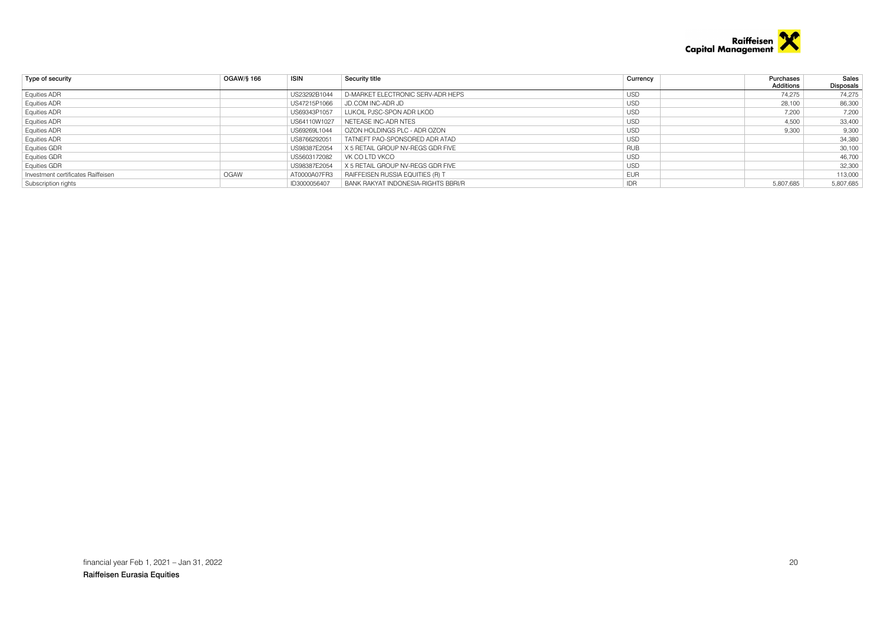

| Type of security                   | OGAW/§ 166 | <b>ISIN</b>  | Security title                      | Currency   | Purchases | Sales     |
|------------------------------------|------------|--------------|-------------------------------------|------------|-----------|-----------|
|                                    |            |              |                                     |            | Additions | Disposals |
| <b>Equities ADR</b>                |            | US23292B1044 | D-MARKET ELECTRONIC SERV-ADR HEPS   | <b>USD</b> | 74.275    | 74,275    |
| <b>Equities ADR</b>                |            | US47215P1066 | JD.COM INC-ADR JD                   | <b>USD</b> | 28,100    | 86,300    |
| <b>Equities ADR</b>                |            | US69343P1057 | LUKOIL PJSC-SPON ADR LKOD           | <b>USD</b> | 7,200     | 7,200     |
| Equities ADR                       |            | US64110W1027 | NETEASE INC-ADR NTES                | <b>USD</b> | 4,500     | 33,400    |
| Equities ADR                       |            | US69269L1044 | OZON HOLDINGS PLC - ADR OZON        | <b>USD</b> | 9,300     | 9,300     |
| <b>Equities ADR</b>                |            | US8766292051 | TATNEFT PAO-SPONSORED ADR ATAD      | <b>USD</b> |           | 34,380    |
| Equities GDR                       |            | US98387E2054 | X 5 RETAIL GROUP NV-REGS GDR FIVE   | <b>RUB</b> |           | 30,100    |
| <b>Equities GDR</b>                |            | US5603172082 | VK CO I TD VKCO                     | <b>USD</b> |           | 46,700    |
| <b>Equities GDR</b>                |            | US98387E2054 | X 5 RETAIL GROUP NV-REGS GDR FIVE   | <b>USD</b> |           | 32,300    |
| Investment certificates Raiffeisen | OGAW       | AT0000A07FR3 | RAIFFEISEN RUSSIA EQUITIES (R) T    | <b>EUR</b> |           | 113,000   |
| Subscription rights                |            | ID3000056407 | BANK RAKYAT INDONESIA-RIGHTS BBRI/R | IDR        | 5,807,685 | 5,807,685 |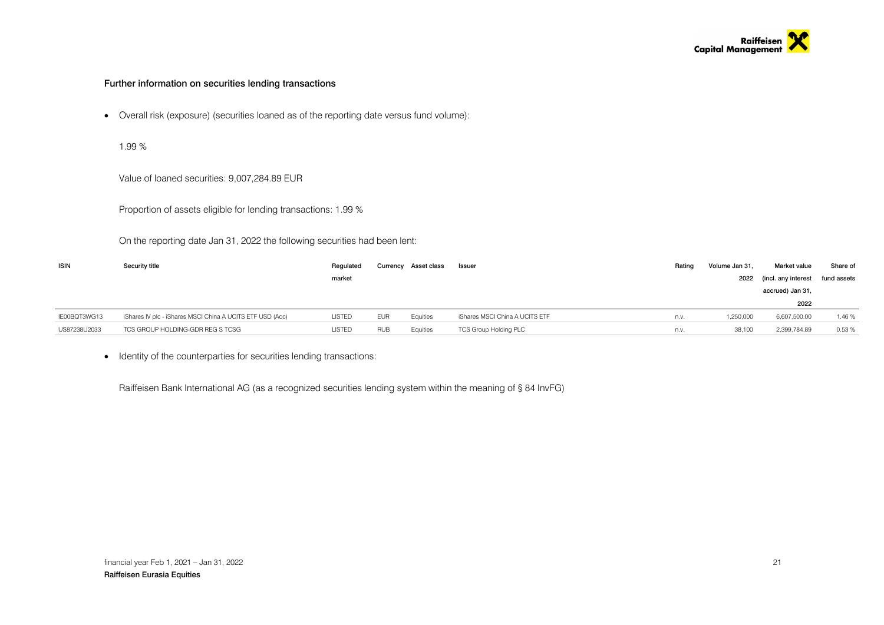

### Further information on securities lending transactions

Overall risk (exposure) (securities loaned as of the reporting date versus fund volume):

1.99 %

Value of loaned securities: 9,007,284.89 EUR

Proportion of assets eligible for lending transactions: 1.99 %

On the reporting date Jan 31, 2022 the following securities had been lent:

| <b>ISIN</b>  | Security title                                            | Regulated     | Currency   | Asset class | Issuer                         | Rating | Volume Jan 31. | Market value        | Share of    |
|--------------|-----------------------------------------------------------|---------------|------------|-------------|--------------------------------|--------|----------------|---------------------|-------------|
|              |                                                           | market        |            |             |                                |        | 2022           | (incl. any interest | fund assets |
|              |                                                           |               |            |             |                                |        |                | accrued) Jan 31,    |             |
|              |                                                           |               |            |             |                                |        |                | 2022                |             |
| IE00BQT3WG13 | iShares IV plc - iShares MSCI China A UCITS ETF USD (Acc) | <b>LISTED</b> | <b>EUR</b> | Equities    | iShares MSCI China A UCITS ETF | n.v.   | 1,250,000      | 6,607,500.00        | 1.46%       |
| US87238U2033 | TCS GROUP HOLDING-GDR REG S TCSG                          | <b>LISTED</b> | <b>RUB</b> | Equities    | <b>TCS Group Holding PLC</b>   | n.v.   | 38,100         | 2,399,784.89        | 0.53%       |

• Identity of the counterparties for securities lending transactions:

Raiffeisen Bank International AG (as a recognized securities lending system within the meaning of § 84 InvFG)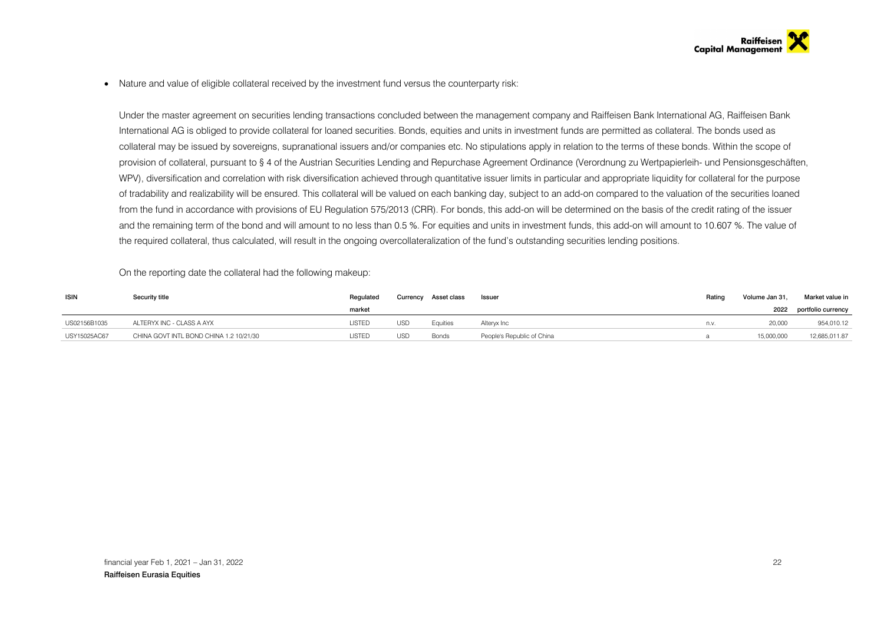• Nature and value of eligible collateral received by the investment fund versus the counterparty risk:

Under the master agreement on securities lending transactions concluded between the management company and Raiffeisen Bank International AG, Raiffeisen Bank International AG is obliged to provide collateral for loaned securities. Bonds, equities and units in investment funds are permitted as collateral. The bonds used as collateral may be issued by sovereigns, supranational issuers and/or companies etc. No stipulations apply in relation to the terms of these bonds. Within the scope of provision of collateral, pursuant to § 4 of the Austrian Securities Lending and Repurchase Agreement Ordinance (Verordnung zu Wertpapierleih- und Pensionsgeschäften, WPV), diversification and correlation with risk diversification achieved through quantitative issuer limits in particular and appropriate liquidity for collateral for the purpose of tradability and realizability will be ensured. This collateral will be valued on each banking day, subject to an add-on compared to the valuation of the securities loaned from the fund in accordance with provisions of EU Regulation 575/2013 (CRR). For bonds, this add-on will be determined on the basis of the credit rating of the issuer and the remaining term of the bond and will amount to no less than 0.5 %. For equities and units in investment funds, this add-on will amount to 10.607 %. The value of the required collateral, thus calculated, will result in the ongoing overcollateralization of the fund's outstanding securities lending positions.

On the reporting date the collateral had the following makeup:

| <b>ISIN</b>  | Security title                          | Regulated | Currency   | Asset class | Issuer                     | Rating | Volume Jan 31. | Market value in    |
|--------------|-----------------------------------------|-----------|------------|-------------|----------------------------|--------|----------------|--------------------|
|              |                                         | market    |            |             |                            |        | 2022           | portfolio currency |
| US02156B1035 | ALTERYX INC - CLASS A AYX               | LISTED    | <b>USD</b> | Equities    | Altervx Inc                | n.v.   | 20,000         | 954,010.12         |
| USY15025AC67 | CHINA GOVT INTL BOND CHINA 1.2 10/21/30 | LISTED    | <b>USD</b> | Bonds       | People's Republic of China |        | 15,000,000     | 12,685,011.87      |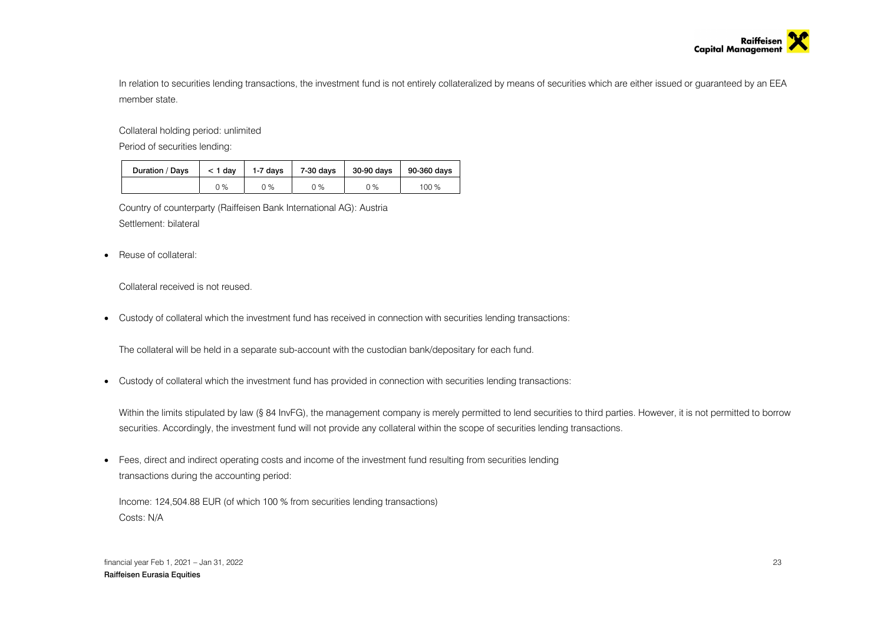

In relation to securities lending transactions, the investment fund is not entirely collateralized by means of securities which are either issued or guaranteed by an EEA member state.

Collateral holding period: unlimited

Period of securities lending:

| Duration / Days | $<$ 1 dav | 1-7 days | 7-30 days | 30-90 days | 90-360 days |
|-----------------|-----------|----------|-----------|------------|-------------|
|                 | 0 %       | ገ %      | 0 %       | $0\%$      | 100 %       |

Country of counterparty (Raiffeisen Bank International AG): Austria Settlement: bilateral

• Reuse of collateral:

Collateral received is not reused.

Custody of collateral which the investment fund has received in connection with securities lending transactions:

The collateral will be held in a separate sub-account with the custodian bank/depositary for each fund.

Custody of collateral which the investment fund has provided in connection with securities lending transactions:

Within the limits stipulated by law (§ 84 InvFG), the management company is merely permitted to lend securities to third parties. However, it is not permitted to borrow securities. Accordingly, the investment fund will not provide any collateral within the scope of securities lending transactions.

 Fees, direct and indirect operating costs and income of the investment fund resulting from securities lending transactions during the accounting period:

Income: 124,504.88 EUR (of which 100 % from securities lending transactions) Costs: N/A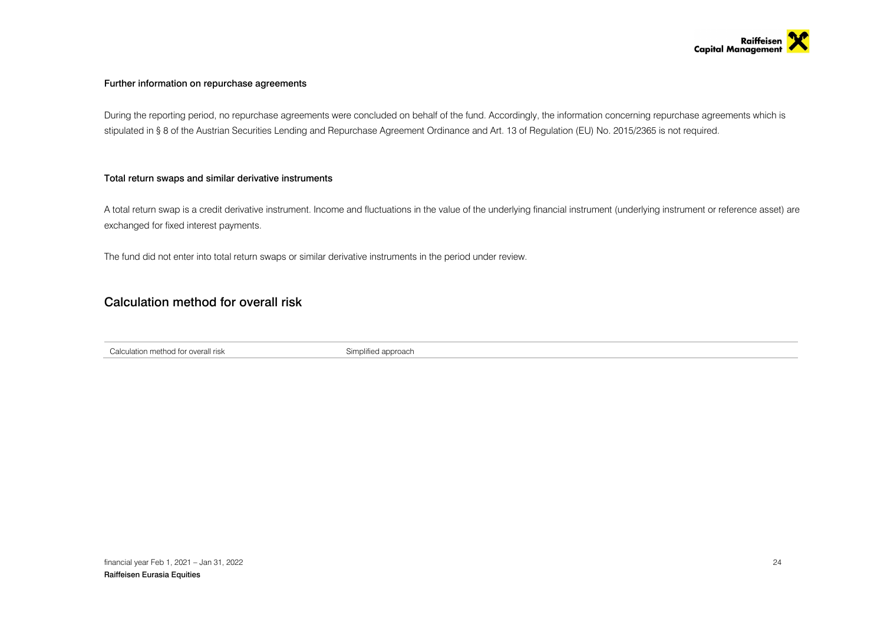

### Further information on repurchase agreements

During the reporting period, no repurchase agreements were concluded on behalf of the fund. Accordingly, the information concerning repurchase agreements which is stipulated in § 8 of the Austrian Securities Lending and Repurchase Agreement Ordinance and Art. 13 of Regulation (EU) No. 2015/2365 is not required.

### Total return swaps and similar derivative instruments

A total return swap is a credit derivative instrument. Income and fluctuations in the value of the underlying financial instrument (underlying instrument or reference asset) are exchanged for fixed interest payments.

The fund did not enter into total return swaps or similar derivative instruments in the period under review.

## Calculation method for overall risk

Calculation method for overall risk Simplified approach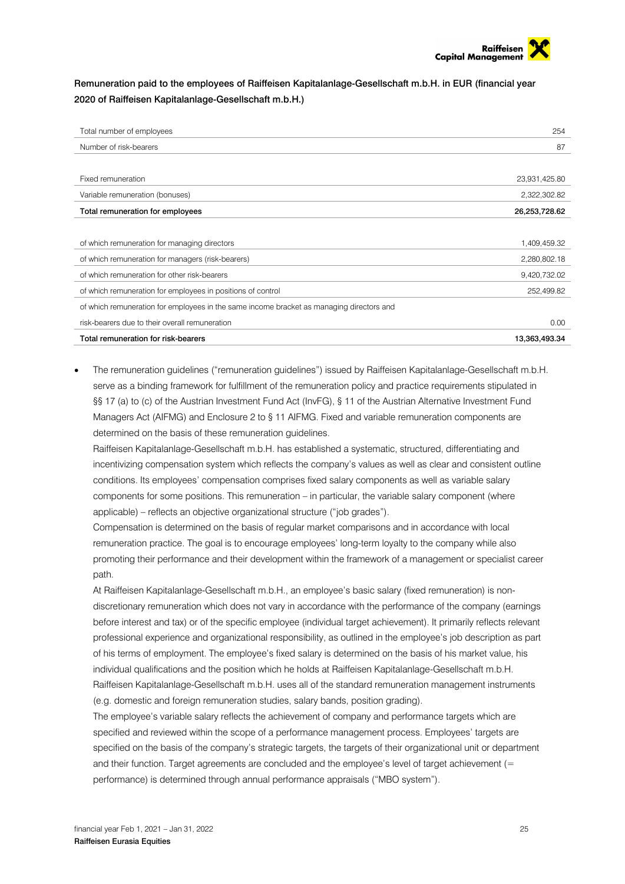

Remuneration paid to the employees of Raiffeisen Kapitalanlage-Gesellschaft m.b.H. in EUR (financial year 2020 of Raiffeisen Kapitalanlage-Gesellschaft m.b.H.)

| Total number of employees                                                                | 254           |
|------------------------------------------------------------------------------------------|---------------|
| Number of risk-bearers                                                                   | 87            |
|                                                                                          |               |
| Fixed remuneration                                                                       | 23,931,425.80 |
| Variable remuneration (bonuses)                                                          | 2,322,302.82  |
| Total remuneration for employees                                                         | 26,253,728.62 |
|                                                                                          |               |
| of which remuneration for managing directors                                             | 1,409,459.32  |
| of which remuneration for managers (risk-bearers)                                        | 2,280,802.18  |
| of which remuneration for other risk-bearers                                             | 9,420,732.02  |
| of which remuneration for employees in positions of control                              | 252,499.82    |
| of which remuneration for employees in the same income bracket as managing directors and |               |
| risk-bearers due to their overall remuneration                                           | 0.00          |
| Total remuneration for risk-bearers                                                      | 13,363,493.34 |

 The remuneration guidelines ("remuneration guidelines") issued by Raiffeisen Kapitalanlage-Gesellschaft m.b.H. serve as a binding framework for fulfillment of the remuneration policy and practice requirements stipulated in §§ 17 (a) to (c) of the Austrian Investment Fund Act (InvFG), § 11 of the Austrian Alternative Investment Fund Managers Act (AIFMG) and Enclosure 2 to § 11 AIFMG. Fixed and variable remuneration components are determined on the basis of these remuneration guidelines.

Raiffeisen Kapitalanlage-Gesellschaft m.b.H. has established a systematic, structured, differentiating and incentivizing compensation system which reflects the company's values as well as clear and consistent outline conditions. Its employees' compensation comprises fixed salary components as well as variable salary components for some positions. This remuneration – in particular, the variable salary component (where applicable) – reflects an objective organizational structure ("job grades").

Compensation is determined on the basis of regular market comparisons and in accordance with local remuneration practice. The goal is to encourage employees' long-term loyalty to the company while also promoting their performance and their development within the framework of a management or specialist career path.

At Raiffeisen Kapitalanlage-Gesellschaft m.b.H., an employee's basic salary (fixed remuneration) is nondiscretionary remuneration which does not vary in accordance with the performance of the company (earnings before interest and tax) or of the specific employee (individual target achievement). It primarily reflects relevant professional experience and organizational responsibility, as outlined in the employee's job description as part of his terms of employment. The employee's fixed salary is determined on the basis of his market value, his individual qualifications and the position which he holds at Raiffeisen Kapitalanlage-Gesellschaft m.b.H. Raiffeisen Kapitalanlage-Gesellschaft m.b.H. uses all of the standard remuneration management instruments (e.g. domestic and foreign remuneration studies, salary bands, position grading).

The employee's variable salary reflects the achievement of company and performance targets which are specified and reviewed within the scope of a performance management process. Employees' targets are specified on the basis of the company's strategic targets, the targets of their organizational unit or department and their function. Target agreements are concluded and the employee's level of target achievement (= performance) is determined through annual performance appraisals ("MBO system").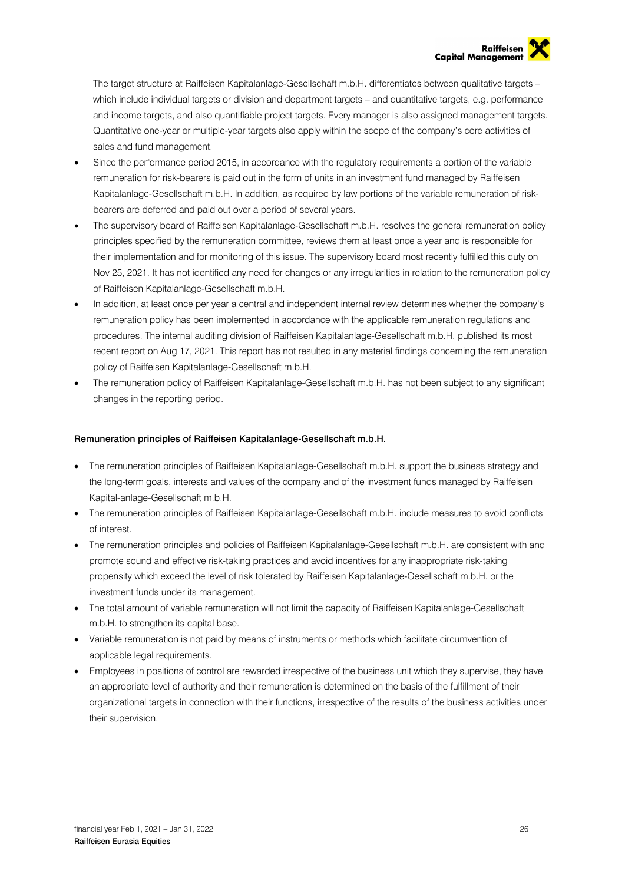The target structure at Raiffeisen Kapitalanlage-Gesellschaft m.b.H. differentiates between qualitative targets – which include individual targets or division and department targets – and quantitative targets, e.g. performance and income targets, and also quantifiable project targets. Every manager is also assigned management targets. Quantitative one-year or multiple-year targets also apply within the scope of the company's core activities of sales and fund management.

- Since the performance period 2015, in accordance with the regulatory requirements a portion of the variable remuneration for risk-bearers is paid out in the form of units in an investment fund managed by Raiffeisen Kapitalanlage-Gesellschaft m.b.H. In addition, as required by law portions of the variable remuneration of riskbearers are deferred and paid out over a period of several years.
- The supervisory board of Raiffeisen Kapitalanlage-Gesellschaft m.b.H. resolves the general remuneration policy principles specified by the remuneration committee, reviews them at least once a year and is responsible for their implementation and for monitoring of this issue. The supervisory board most recently fulfilled this duty on Nov 25, 2021. It has not identified any need for changes or any irregularities in relation to the remuneration policy of Raiffeisen Kapitalanlage-Gesellschaft m.b.H.
- In addition, at least once per year a central and independent internal review determines whether the company's remuneration policy has been implemented in accordance with the applicable remuneration regulations and procedures. The internal auditing division of Raiffeisen Kapitalanlage-Gesellschaft m.b.H. published its most recent report on Aug 17, 2021. This report has not resulted in any material findings concerning the remuneration policy of Raiffeisen Kapitalanlage-Gesellschaft m.b.H.
- The remuneration policy of Raiffeisen Kapitalanlage-Gesellschaft m.b.H. has not been subject to any significant changes in the reporting period.

### Remuneration principles of Raiffeisen Kapitalanlage-Gesellschaft m.b.H.

- The remuneration principles of Raiffeisen Kapitalanlage-Gesellschaft m.b.H. support the business strategy and the long-term goals, interests and values of the company and of the investment funds managed by Raiffeisen Kapital-anlage-Gesellschaft m.b.H.
- The remuneration principles of Raiffeisen Kapitalanlage-Gesellschaft m.b.H. include measures to avoid conflicts of interest.
- The remuneration principles and policies of Raiffeisen Kapitalanlage-Gesellschaft m.b.H. are consistent with and promote sound and effective risk-taking practices and avoid incentives for any inappropriate risk-taking propensity which exceed the level of risk tolerated by Raiffeisen Kapitalanlage-Gesellschaft m.b.H. or the investment funds under its management.
- The total amount of variable remuneration will not limit the capacity of Raiffeisen Kapitalanlage-Gesellschaft m.b.H. to strengthen its capital base.
- Variable remuneration is not paid by means of instruments or methods which facilitate circumvention of applicable legal requirements.
- Employees in positions of control are rewarded irrespective of the business unit which they supervise, they have an appropriate level of authority and their remuneration is determined on the basis of the fulfillment of their organizational targets in connection with their functions, irrespective of the results of the business activities under their supervision.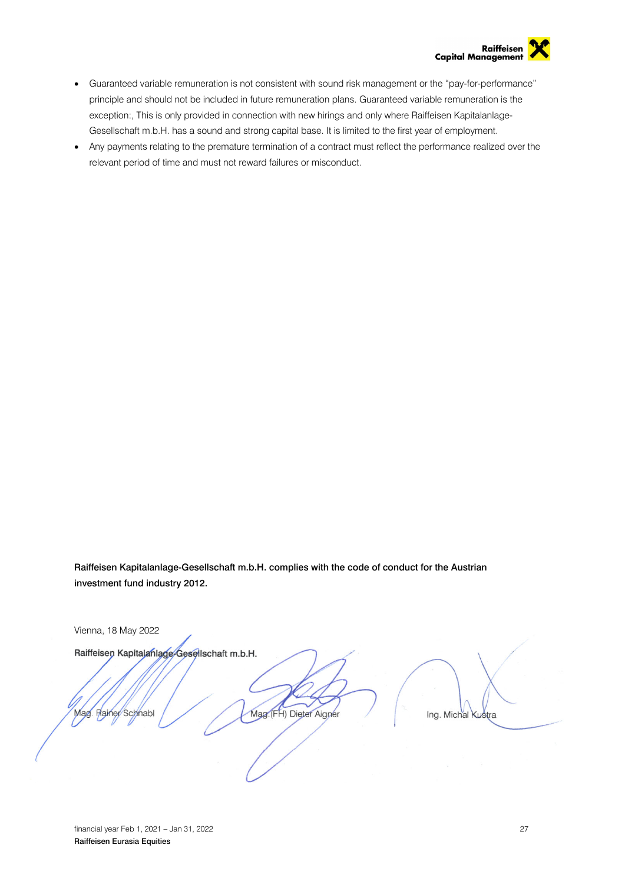

- Guaranteed variable remuneration is not consistent with sound risk management or the "pay-for-performance" principle and should not be included in future remuneration plans. Guaranteed variable remuneration is the exception:, This is only provided in connection with new hirings and only where Raiffeisen Kapitalanlage-Gesellschaft m.b.H. has a sound and strong capital base. It is limited to the first year of employment.
- Any payments relating to the premature termination of a contract must reflect the performance realized over the relevant period of time and must not reward failures or misconduct.

Raiffeisen Kapitalanlage-Gesellschaft m.b.H. complies with the code of conduct for the Austrian investment fund industry 2012.

Vienna, 18 May 2022

Raiffeisen Kapitalanlage-Gesellschaft m.b.H.

Rainer Schnabl Mag

Mag. (FH) Dieter Aigner

Ing. Michal Kustra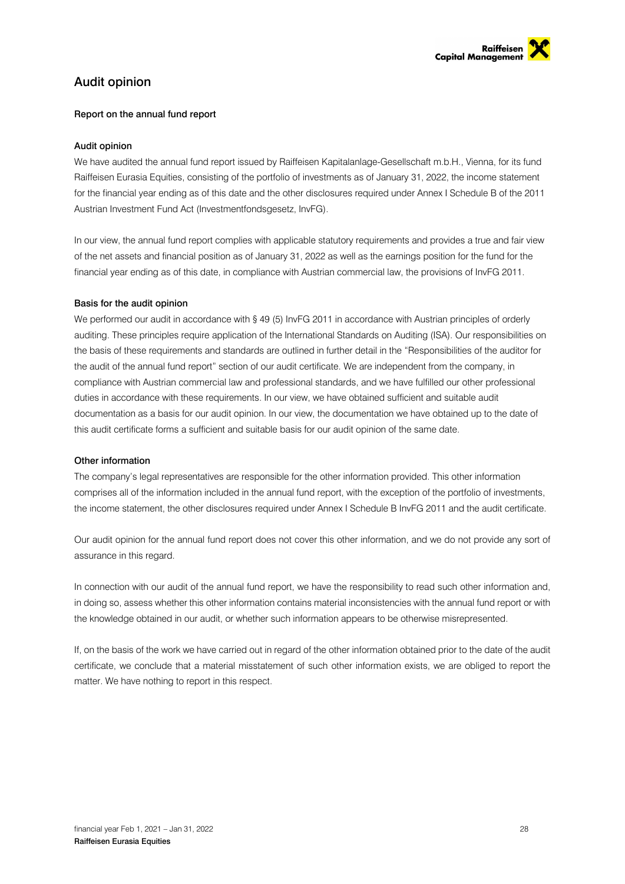

## Audit opinion

### Report on the annual fund report

### Audit opinion

We have audited the annual fund report issued by Raiffeisen Kapitalanlage-Gesellschaft m.b.H., Vienna, for its fund Raiffeisen Eurasia Equities, consisting of the portfolio of investments as of January 31, 2022, the income statement for the financial year ending as of this date and the other disclosures required under Annex I Schedule B of the 2011 Austrian Investment Fund Act (Investmentfondsgesetz, InvFG).

In our view, the annual fund report complies with applicable statutory requirements and provides a true and fair view of the net assets and financial position as of January 31, 2022 as well as the earnings position for the fund for the financial year ending as of this date, in compliance with Austrian commercial law, the provisions of InvFG 2011.

### Basis for the audit opinion

We performed our audit in accordance with § 49 (5) InvFG 2011 in accordance with Austrian principles of orderly auditing. These principles require application of the International Standards on Auditing (ISA). Our responsibilities on the basis of these requirements and standards are outlined in further detail in the "Responsibilities of the auditor for the audit of the annual fund report" section of our audit certificate. We are independent from the company, in compliance with Austrian commercial law and professional standards, and we have fulfilled our other professional duties in accordance with these requirements. In our view, we have obtained sufficient and suitable audit documentation as a basis for our audit opinion. In our view, the documentation we have obtained up to the date of this audit certificate forms a sufficient and suitable basis for our audit opinion of the same date.

### Other information

The company's legal representatives are responsible for the other information provided. This other information comprises all of the information included in the annual fund report, with the exception of the portfolio of investments, the income statement, the other disclosures required under Annex I Schedule B InvFG 2011 and the audit certificate.

Our audit opinion for the annual fund report does not cover this other information, and we do not provide any sort of assurance in this regard.

In connection with our audit of the annual fund report, we have the responsibility to read such other information and, in doing so, assess whether this other information contains material inconsistencies with the annual fund report or with the knowledge obtained in our audit, or whether such information appears to be otherwise misrepresented.

If, on the basis of the work we have carried out in regard of the other information obtained prior to the date of the audit certificate, we conclude that a material misstatement of such other information exists, we are obliged to report the matter. We have nothing to report in this respect.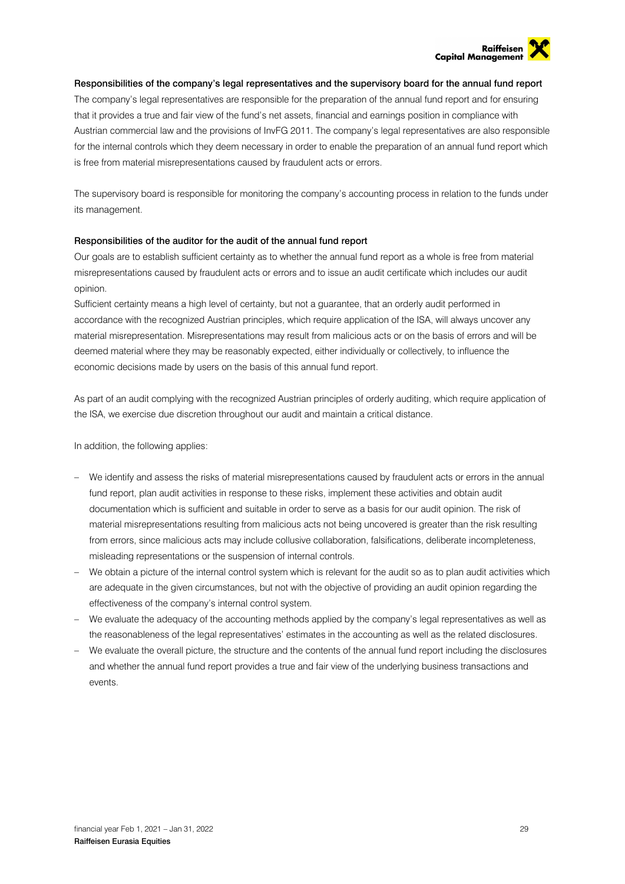

### Responsibilities of the company's legal representatives and the supervisory board for the annual fund report

The company's legal representatives are responsible for the preparation of the annual fund report and for ensuring that it provides a true and fair view of the fund's net assets, financial and earnings position in compliance with Austrian commercial law and the provisions of InvFG 2011. The company's legal representatives are also responsible for the internal controls which they deem necessary in order to enable the preparation of an annual fund report which is free from material misrepresentations caused by fraudulent acts or errors.

The supervisory board is responsible for monitoring the company's accounting process in relation to the funds under its management.

### Responsibilities of the auditor for the audit of the annual fund report

Our goals are to establish sufficient certainty as to whether the annual fund report as a whole is free from material misrepresentations caused by fraudulent acts or errors and to issue an audit certificate which includes our audit opinion.

Sufficient certainty means a high level of certainty, but not a guarantee, that an orderly audit performed in accordance with the recognized Austrian principles, which require application of the ISA, will always uncover any material misrepresentation. Misrepresentations may result from malicious acts or on the basis of errors and will be deemed material where they may be reasonably expected, either individually or collectively, to influence the economic decisions made by users on the basis of this annual fund report.

As part of an audit complying with the recognized Austrian principles of orderly auditing, which require application of the ISA, we exercise due discretion throughout our audit and maintain a critical distance.

In addition, the following applies:

- We identify and assess the risks of material misrepresentations caused by fraudulent acts or errors in the annual fund report, plan audit activities in response to these risks, implement these activities and obtain audit documentation which is sufficient and suitable in order to serve as a basis for our audit opinion. The risk of material misrepresentations resulting from malicious acts not being uncovered is greater than the risk resulting from errors, since malicious acts may include collusive collaboration, falsifications, deliberate incompleteness, misleading representations or the suspension of internal controls.
- We obtain a picture of the internal control system which is relevant for the audit so as to plan audit activities which are adequate in the given circumstances, but not with the objective of providing an audit opinion regarding the effectiveness of the company's internal control system.
- We evaluate the adequacy of the accounting methods applied by the company's legal representatives as well as the reasonableness of the legal representatives' estimates in the accounting as well as the related disclosures.
- We evaluate the overall picture, the structure and the contents of the annual fund report including the disclosures and whether the annual fund report provides a true and fair view of the underlying business transactions and events.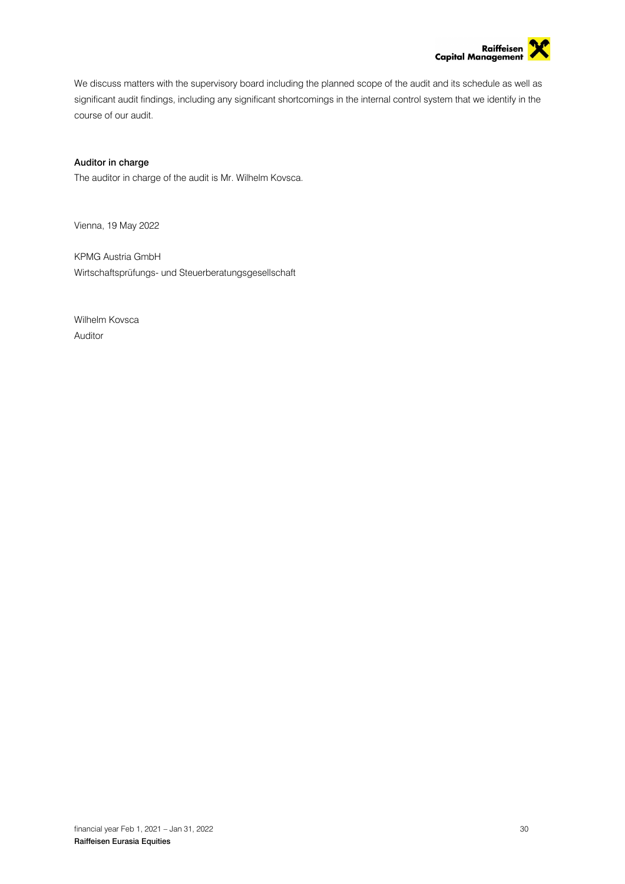

We discuss matters with the supervisory board including the planned scope of the audit and its schedule as well as significant audit findings, including any significant shortcomings in the internal control system that we identify in the course of our audit.

### Auditor in charge

The auditor in charge of the audit is Mr. Wilhelm Kovsca.

Vienna, 19 May 2022

KPMG Austria GmbH Wirtschaftsprüfungs- und Steuerberatungsgesellschaft

Wilhelm Kovsca Auditor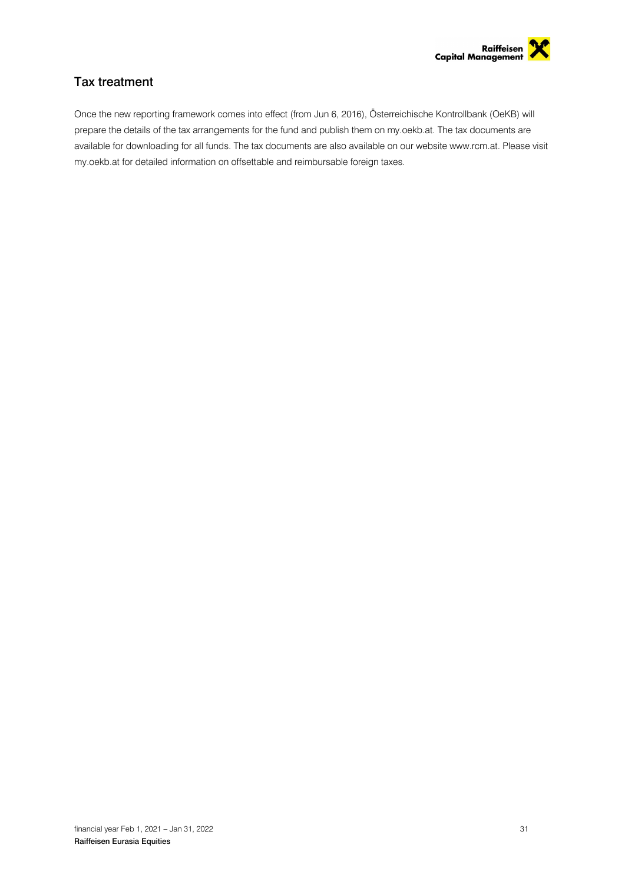

## Tax treatment

Once the new reporting framework comes into effect (from Jun 6, 2016), Österreichische Kontrollbank (OeKB) will prepare the details of the tax arrangements for the fund and publish them on my.oekb.at. The tax documents are available for downloading for all funds. The tax documents are also available on our website www.rcm.at. Please visit my.oekb.at for detailed information on offsettable and reimbursable foreign taxes.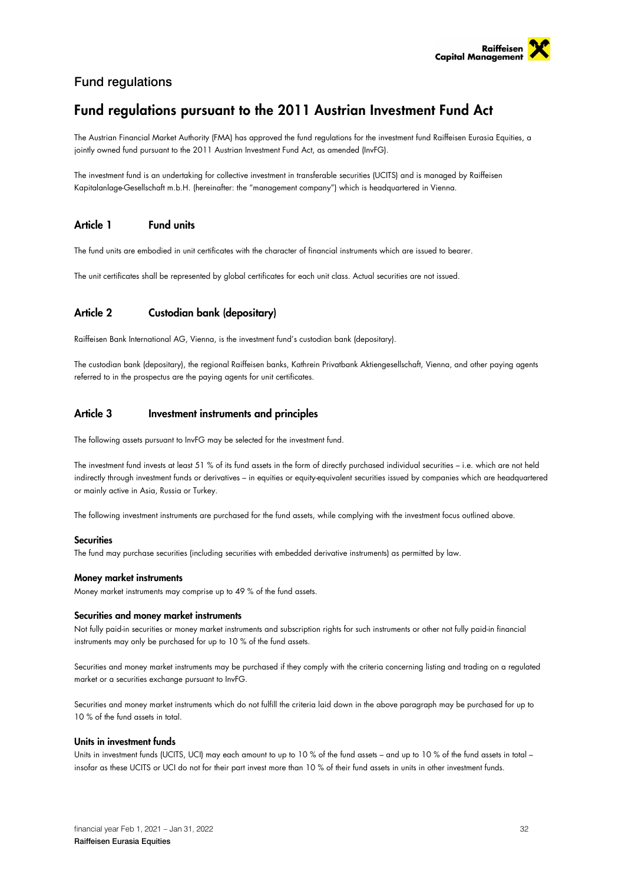

## Fund regulations

## Fund regulations pursuant to the 2011 Austrian Investment Fund Act

The Austrian Financial Market Authority (FMA) has approved the fund regulations for the investment fund Raiffeisen Eurasia Equities, a jointly owned fund pursuant to the 2011 Austrian Investment Fund Act, as amended (InvFG).

The investment fund is an undertaking for collective investment in transferable securities (UCITS) and is managed by Raiffeisen Kapitalanlage-Gesellschaft m.b.H. (hereinafter: the "management company") which is headquartered in Vienna.

### Article 1 Fund units

The fund units are embodied in unit certificates with the character of financial instruments which are issued to bearer.

The unit certificates shall be represented by global certificates for each unit class. Actual securities are not issued.

### Article 2 Custodian bank (depositary)

Raiffeisen Bank International AG, Vienna, is the investment fund's custodian bank (depositary).

The custodian bank (depositary), the regional Raiffeisen banks, Kathrein Privatbank Aktiengesellschaft, Vienna, and other paying agents referred to in the prospectus are the paying agents for unit certificates.

### Article 3 Investment instruments and principles

The following assets pursuant to InvFG may be selected for the investment fund.

The investment fund invests at least 51 % of its fund assets in the form of directly purchased individual securities – i.e. which are not held indirectly through investment funds or derivatives – in equities or equity-equivalent securities issued by companies which are headquartered or mainly active in Asia, Russia or Turkey.

The following investment instruments are purchased for the fund assets, while complying with the investment focus outlined above.

### Securities

The fund may purchase securities (including securities with embedded derivative instruments) as permitted by law.

### Money market instruments

Money market instruments may comprise up to 49 % of the fund assets.

### Securities and money market instruments

Not fully paid-in securities or money market instruments and subscription rights for such instruments or other not fully paid-in financial instruments may only be purchased for up to 10 % of the fund assets.

Securities and money market instruments may be purchased if they comply with the criteria concerning listing and trading on a regulated market or a securities exchange pursuant to InvFG.

Securities and money market instruments which do not fulfill the criteria laid down in the above paragraph may be purchased for up to 10 % of the fund assets in total.

### Units in investment funds

Units in investment funds (UCITS, UCI) may each amount to up to 10 % of the fund assets – and up to 10 % of the fund assets in total – insofar as these UCITS or UCI do not for their part invest more than 10 % of their fund assets in units in other investment funds.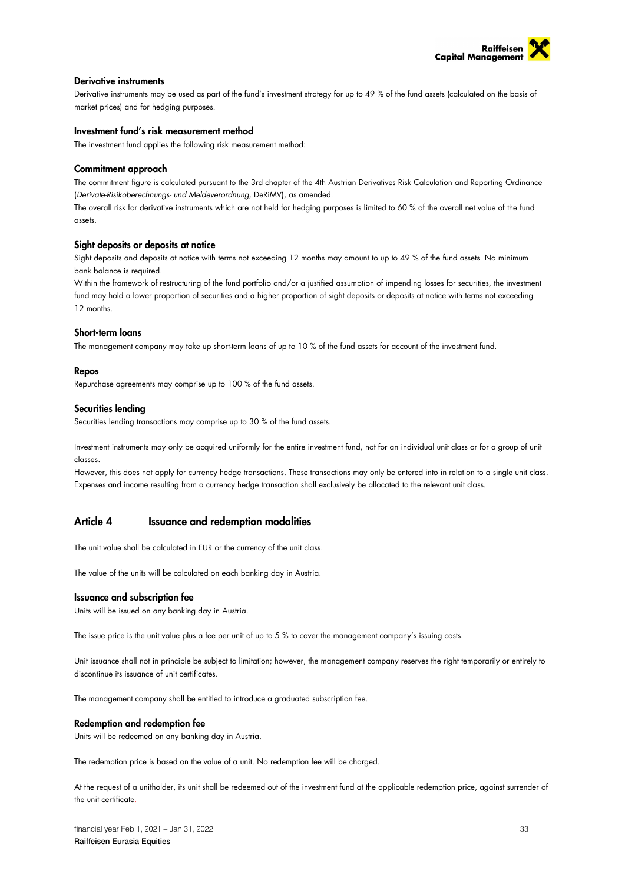

### Derivative instruments

Derivative instruments may be used as part of the fund's investment strategy for up to 49 % of the fund assets (calculated on the basis of market prices) and for hedging purposes.

### Investment fund's risk measurement method

The investment fund applies the following risk measurement method:

### Commitment approach

The commitment figure is calculated pursuant to the 3rd chapter of the 4th Austrian Derivatives Risk Calculation and Reporting Ordinance (*Derivate-Risikoberechnungs- und Meldeverordnung*, DeRiMV), as amended.

The overall risk for derivative instruments which are not held for hedging purposes is limited to 60 % of the overall net value of the fund assets.

### Sight deposits or deposits at notice

Sight deposits and deposits at notice with terms not exceeding 12 months may amount to up to 49 % of the fund assets. No minimum bank balance is required.

Within the framework of restructuring of the fund portfolio and/or a justified assumption of impending losses for securities, the investment fund may hold a lower proportion of securities and a higher proportion of sight deposits or deposits at notice with terms not exceeding 12 months.

### Short-term loans

The management company may take up short-term loans of up to 10 % of the fund assets for account of the investment fund.

### Repos

Repurchase agreements may comprise up to 100 % of the fund assets.

### Securities lending

Securities lending transactions may comprise up to 30 % of the fund assets.

Investment instruments may only be acquired uniformly for the entire investment fund, not for an individual unit class or for a group of unit classes.

However, this does not apply for currency hedge transactions. These transactions may only be entered into in relation to a single unit class. Expenses and income resulting from a currency hedge transaction shall exclusively be allocated to the relevant unit class.

### Article 4 Issuance and redemption modalities

The unit value shall be calculated in EUR or the currency of the unit class.

The value of the units will be calculated on each banking day in Austria.

### Issuance and subscription fee

Units will be issued on any banking day in Austria.

The issue price is the unit value plus a fee per unit of up to 5 % to cover the management company's issuing costs.

Unit issuance shall not in principle be subject to limitation; however, the management company reserves the right temporarily or entirely to discontinue its issuance of unit certificates.

The management company shall be entitled to introduce a graduated subscription fee.

### Redemption and redemption fee

Units will be redeemed on any banking day in Austria.

The redemption price is based on the value of a unit. No redemption fee will be charged.

At the request of a unitholder, its unit shall be redeemed out of the investment fund at the applicable redemption price, against surrender of the unit certificate.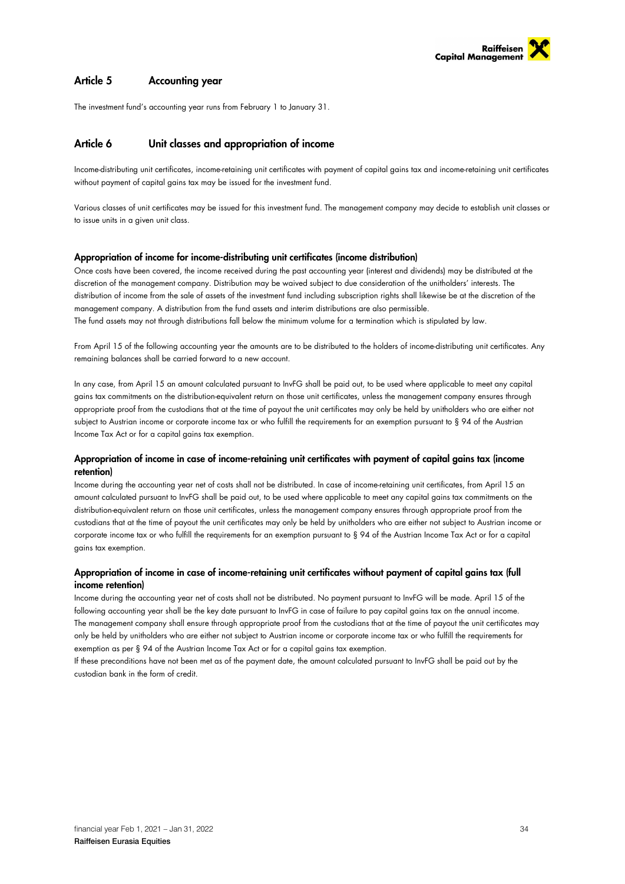

### Article 5 Accounting year

The investment fund's accounting year runs from February 1 to January 31.

### Article 6 Unit classes and appropriation of income

Income-distributing unit certificates, income-retaining unit certificates with payment of capital gains tax and income-retaining unit certificates without payment of capital gains tax may be issued for the investment fund.

Various classes of unit certificates may be issued for this investment fund. The management company may decide to establish unit classes or to issue units in a given unit class.

### Appropriation of income for income-distributing unit certificates (income distribution)

Once costs have been covered, the income received during the past accounting year (interest and dividends) may be distributed at the discretion of the management company. Distribution may be waived subject to due consideration of the unitholders' interests. The distribution of income from the sale of assets of the investment fund including subscription rights shall likewise be at the discretion of the management company. A distribution from the fund assets and interim distributions are also permissible. The fund assets may not through distributions fall below the minimum volume for a termination which is stipulated by law.

From April 15 of the following accounting year the amounts are to be distributed to the holders of income-distributing unit certificates. Any remaining balances shall be carried forward to a new account.

In any case, from April 15 an amount calculated pursuant to InvFG shall be paid out, to be used where applicable to meet any capital gains tax commitments on the distribution-equivalent return on those unit certificates, unless the management company ensures through appropriate proof from the custodians that at the time of payout the unit certificates may only be held by unitholders who are either not subject to Austrian income or corporate income tax or who fulfill the requirements for an exemption pursuant to § 94 of the Austrian Income Tax Act or for a capital gains tax exemption.

### Appropriation of income in case of income-retaining unit certificates with payment of capital gains tax (income retention)

Income during the accounting year net of costs shall not be distributed. In case of income-retaining unit certificates, from April 15 an amount calculated pursuant to InvFG shall be paid out, to be used where applicable to meet any capital gains tax commitments on the distribution-equivalent return on those unit certificates, unless the management company ensures through appropriate proof from the custodians that at the time of payout the unit certificates may only be held by unitholders who are either not subject to Austrian income or corporate income tax or who fulfill the requirements for an exemption pursuant to § 94 of the Austrian Income Tax Act or for a capital gains tax exemption.

### Appropriation of income in case of income-retaining unit certificates without payment of capital gains tax (full income retention)

Income during the accounting year net of costs shall not be distributed. No payment pursuant to InvFG will be made. April 15 of the following accounting year shall be the key date pursuant to InvFG in case of failure to pay capital gains tax on the annual income. The management company shall ensure through appropriate proof from the custodians that at the time of payout the unit certificates may only be held by unitholders who are either not subject to Austrian income or corporate income tax or who fulfill the requirements for exemption as per § 94 of the Austrian Income Tax Act or for a capital gains tax exemption.

If these preconditions have not been met as of the payment date, the amount calculated pursuant to InvFG shall be paid out by the custodian bank in the form of credit.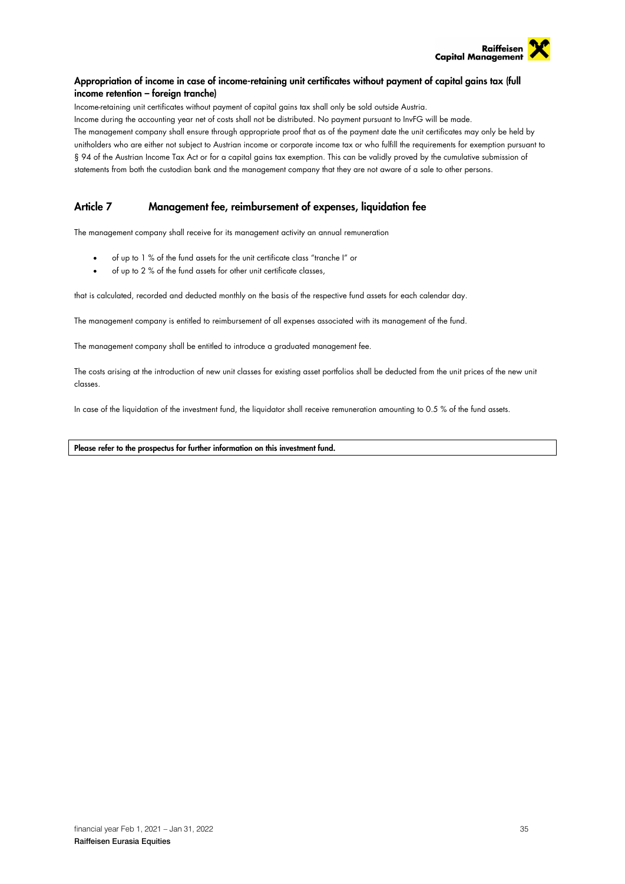

### Appropriation of income in case of income-retaining unit certificates without payment of capital gains tax (full income retention – foreign tranche)

Income-retaining unit certificates without payment of capital gains tax shall only be sold outside Austria. Income during the accounting year net of costs shall not be distributed. No payment pursuant to InvFG will be made. The management company shall ensure through appropriate proof that as of the payment date the unit certificates may only be held by unitholders who are either not subject to Austrian income or corporate income tax or who fulfill the requirements for exemption pursuant to § 94 of the Austrian Income Tax Act or for a capital gains tax exemption. This can be validly proved by the cumulative submission of statements from both the custodian bank and the management company that they are not aware of a sale to other persons.

### Article 7 Management fee, reimbursement of expenses, liquidation fee

The management company shall receive for its management activity an annual remuneration

- of up to 1 % of the fund assets for the unit certificate class "tranche I" or
- of up to 2 % of the fund assets for other unit certificate classes,

that is calculated, recorded and deducted monthly on the basis of the respective fund assets for each calendar day.

The management company is entitled to reimbursement of all expenses associated with its management of the fund.

The management company shall be entitled to introduce a graduated management fee.

The costs arising at the introduction of new unit classes for existing asset portfolios shall be deducted from the unit prices of the new unit classes.

In case of the liquidation of the investment fund, the liquidator shall receive remuneration amounting to 0.5 % of the fund assets.

### Please refer to the prospectus for further information on this investment fund.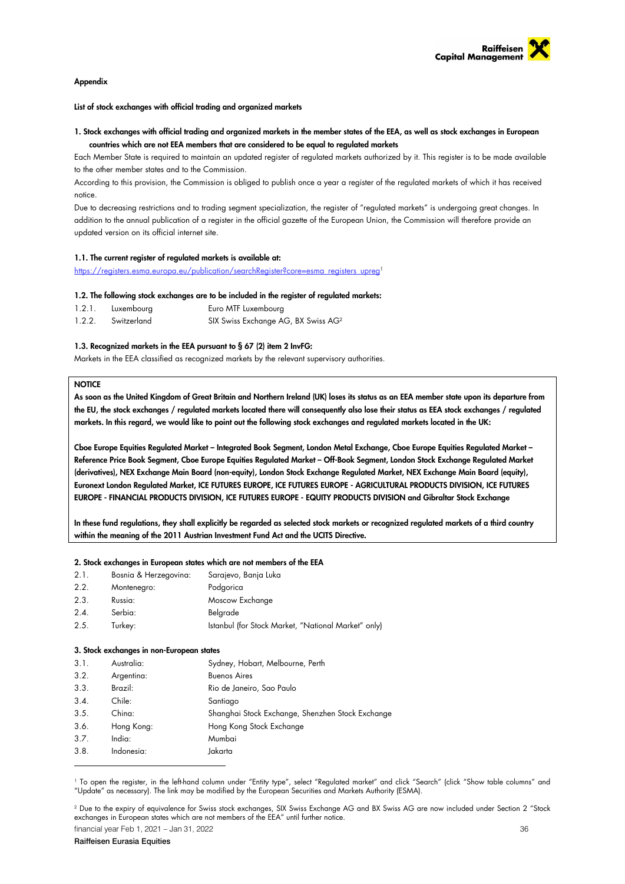

### Appendix

List of stock exchanges with official trading and organized markets

### 1. Stock exchanges with official trading and organized markets in the member states of the EEA, as well as stock exchanges in European countries which are not EEA members that are considered to be equal to regulated markets

Each Member State is required to maintain an updated register of regulated markets authorized by it. This register is to be made available to the other member states and to the Commission.

According to this provision, the Commission is obliged to publish once a year a register of the regulated markets of which it has received notice.

Due to decreasing restrictions and to trading segment specialization, the register of "regulated markets" is undergoing great changes. In addition to the annual publication of a register in the official gazette of the European Union, the Commission will therefore provide an updated version on its official internet site.

### 1.1. The current register of regulated markets is available at:

https://registers.esma.europa.eu/publication/searchRegister?core=esma\_registers\_upreg1

### 1.2. The following stock exchanges are to be included in the register of regulated markets:

| 1.2.1. | Luxembourg  | Euro MTF Luxembourg                             |
|--------|-------------|-------------------------------------------------|
| 1.2.2. | Switzerland | SIX Swiss Exchange AG, BX Swiss AG <sup>2</sup> |

### 1.3. Recognized markets in the EEA pursuant to § 67 (2) item 2 InvFG:

Markets in the EEA classified as recognized markets by the relevant supervisory authorities.

### **NOTICE**

As soon as the United Kingdom of Great Britain and Northern Ireland (UK) loses its status as an EEA member state upon its departure from the EU, the stock exchanges / regulated markets located there will consequently also lose their status as EEA stock exchanges / regulated markets. In this regard, we would like to point out the following stock exchanges and regulated markets located in the UK:

Cboe Europe Equities Regulated Market – Integrated Book Segment, London Metal Exchange, Cboe Europe Equities Regulated Market – Reference Price Book Segment, Cboe Europe Equities Regulated Market – Off-Book Segment, London Stock Exchange Regulated Market (derivatives), NEX Exchange Main Board (non-equity), London Stock Exchange Regulated Market, NEX Exchange Main Board (equity), Euronext London Regulated Market, ICE FUTURES EUROPE, ICE FUTURES EUROPE - AGRICULTURAL PRODUCTS DIVISION, ICE FUTURES EUROPE - FINANCIAL PRODUCTS DIVISION, ICE FUTURES EUROPE - EQUITY PRODUCTS DIVISION and Gibraltar Stock Exchange

In these fund regulations, they shall explicitly be regarded as selected stock markets or recognized regulated markets of a third country within the meaning of the 2011 Austrian Investment Fund Act and the UCITS Directive.

### 2. Stock exchanges in European states which are not members of the EEA

| Bosnia & Herzegovina: | Sarajevo, Banja Luka                                |
|-----------------------|-----------------------------------------------------|
| Montenegro:           | Podgorica                                           |
| Russia:               | Moscow Exchange                                     |
| Serbia:               | Belgrade                                            |
| Turkey:               | Istanbul (for Stock Market, "National Market" only) |
|                       |                                                     |

### 3. Stock exchanges in non-European states

| 3.1. | Australia: | Sydney, Hobart, Melbourne, Perth                 |
|------|------------|--------------------------------------------------|
| 3.2. | Argentina: | <b>Buenos Aires</b>                              |
| 3.3. | Brazil:    | Rio de Janeiro, Sao Paulo                        |
| 3.4. | Chile:     | Santiago                                         |
| 3.5. | China:     | Shanghai Stock Exchange, Shenzhen Stock Exchange |
| 3.6. | Hong Kong: | Hong Kong Stock Exchange                         |
| 3.7. | India:     | Mumbai                                           |
| 3.8. | Indonesia: | Jakarta                                          |
|      |            |                                                  |

1 To open the register, in the left-hand column under "Entity type", select "Regulated market" and click "Search" (click "Show table columns" and "Update" as necessary). The link may be modified by the European Securities and Markets Authority (ESMA).

financial year Feb 1, 2021 – Jan 31, 2022 36  $^2$  Due to the expiry of equivalence for Swiss stock exchanges, SIX Swiss Exchange AG and BX Swiss AG are now included under Section 2 "Stock exchanges in European states which are not members of the EEA" until further notice.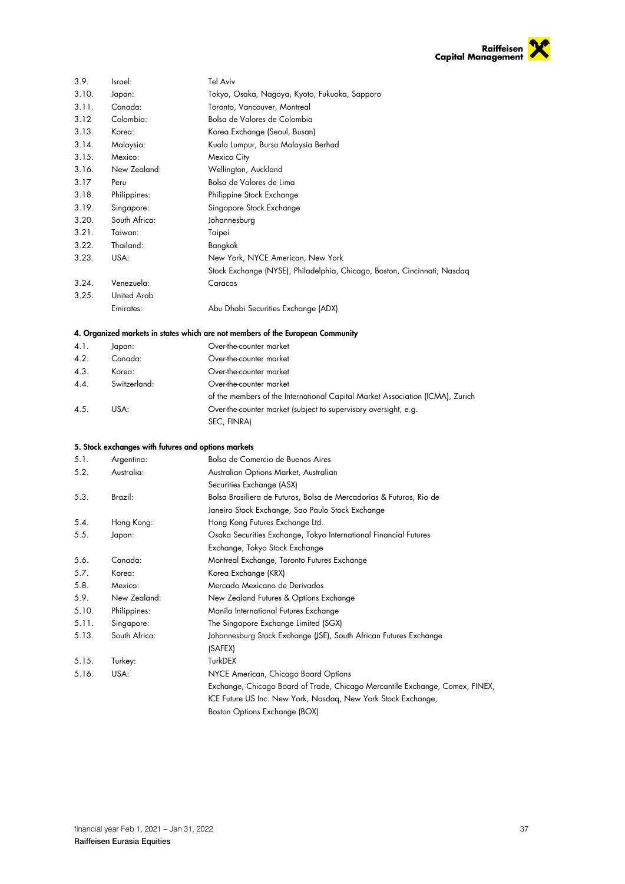

| 3.9.  | Israel:                                             | Tel Aviv                                                                       |
|-------|-----------------------------------------------------|--------------------------------------------------------------------------------|
| 3.10. | Japan:                                              | Tokyo, Osaka, Nagoya, Kyoto, Fukuoka, Sapporo                                  |
| 3.11. | Canada:                                             | Toronto, Vancouver, Montreal                                                   |
| 3.12  | Colombia:                                           | Bolsa de Valores de Colombia                                                   |
| 3.13. | Korea:                                              | Korea Exchange (Seoul, Busan)                                                  |
| 3.14. | Malaysia:                                           | Kuala Lumpur, Bursa Malaysia Berhad                                            |
| 3.15. | Mexico:                                             | Mexico City                                                                    |
| 3.16. | New Zealand:                                        | Wellington, Auckland                                                           |
| 3.17  | Peru                                                | Bolsa de Valores de Lima                                                       |
| 3.18. | Philippines:                                        | Philippine Stock Exchange                                                      |
| 3.19. | Singapore:                                          | Singapore Stock Exchange                                                       |
| 3.20. | South Africa:                                       | Johannesburg                                                                   |
| 3.21. | Taiwan:                                             | Taipei                                                                         |
| 3.22. | Thailand:                                           | Bangkok                                                                        |
| 3.23. | USA:                                                | New York, NYCE American, New York                                              |
|       |                                                     | Stock Exchange (NYSE), Philadelphia, Chicago, Boston, Cincinnati; Nasdaq       |
| 3.24. | Venezuela:                                          | Caracas                                                                        |
| 3.25. | United Arab                                         |                                                                                |
|       | Emirates:                                           | Abu Dhabi Securities Exchange (ADX)                                            |
|       |                                                     |                                                                                |
|       |                                                     | 4. Organized markets in states which are not members of the European Community |
| 4.1.  | Japan:                                              | Over-the-counter market                                                        |
| 4.2.  | Canada:                                             | Over-the-counter market                                                        |
| 4.3.  | Korea:                                              | Over-the-counter market                                                        |
| 4.4.  | Switzerland:                                        | Over-the-counter market                                                        |
|       |                                                     | of the members of the International Capital Market Association (ICMA), Zurich  |
| 4.5.  | USA:                                                | Over-the-counter market (subject to supervisory oversight, e.g.                |
|       |                                                     | SEC, FINRA)                                                                    |
|       |                                                     |                                                                                |
|       | 5. Stock exchanges with futures and options markets |                                                                                |
| 5.1.  | Argentina:                                          | Bolsa de Comercio de Buenos Aires                                              |
| 5.2.  | Australia:                                          | Australian Options Market, Australian                                          |
|       |                                                     | Securities Exchange (ASX)                                                      |
| 5.3.  | Brazil:                                             | Bolsa Brasiliera de Futuros, Bolsa de Mercadorias & Futuros, Rio de            |
|       |                                                     | Janeiro Stock Exchange, Sao Paulo Stock Exchange                               |
| 5.4.  | Hong Kong:                                          | Hong Kong Futures Exchange Ltd.                                                |
| 5.5.  | Japan:                                              | Osaka Securities Exchange, Tokyo International Financial Futures               |
|       |                                                     | Exchange, Tokyo Stock Exchange                                                 |
| 5.6.  | Canada:                                             | Montreal Exchange, Toronto Futures Exchange                                    |
| 5.7.  | Korea:                                              | Korea Exchange (KRX)                                                           |
| 5.8.  | Mexico:                                             | Mercado Mexicano de Derivados                                                  |
| 5.9.  | New Zealand:                                        | New Zealand Futures & Options Exchange                                         |
| 5.10. | Philippines:                                        | Manila International Futures Exchange                                          |
| 5.11. | Singapore:                                          | The Singapore Exchange Limited (SGX)                                           |
| 5.13. | South Africa:                                       | Johannesburg Stock Exchange (JSE), South African Futures Exchange              |
|       |                                                     | (SAFEX)                                                                        |
| 5.15. | Turkey:                                             | TurkDEX                                                                        |
| 5.16. | USA:                                                | NYCE American, Chicago Board Options                                           |
|       |                                                     | Exchange, Chicago Board of Trade, Chicago Mercantile Exchange, Comex, FINEX,   |
|       |                                                     | ICE Future US Inc. New York, Nasdaq, New York Stock Exchange,                  |
|       |                                                     |                                                                                |